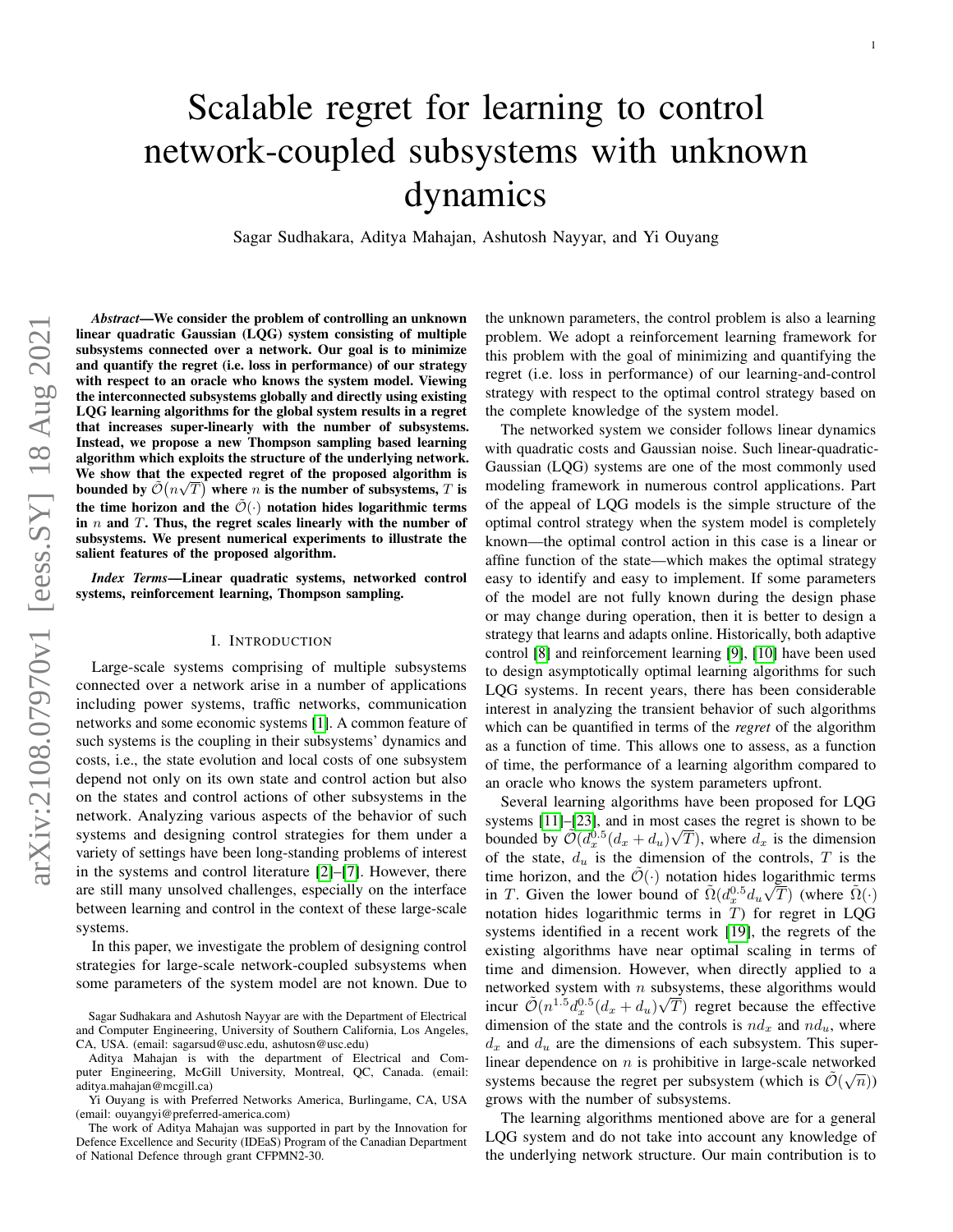# Scalable regret for learning to control network-coupled subsystems with unknown dynamics

Sagar Sudhakara, Aditya Mahajan, Ashutosh Nayyar, and Yi Ouyang

*Abstract*—We consider the problem of controlling an unknown linear quadratic Gaussian (LQG) system consisting of multiple subsystems connected over a network. Our goal is to minimize and quantify the regret (i.e. loss in performance) of our strategy with respect to an oracle who knows the system model. Viewing the interconnected subsystems globally and directly using existing LQG learning algorithms for the global system results in a regret that increases super-linearly with the number of subsystems. Instead, we propose a new Thompson sampling based learning algorithm which exploits the structure of the underlying network. We show that the expected regret of the proposed algorithm is bounded by  $\tilde{\mathcal{O}}(n\sqrt{T})$  where n is the number of subsystems, T is the time horizon and the  $\tilde{\mathcal{O}}(\cdot)$  notation hides logarithmic terms in  $n$  and  $T$ . Thus, the regret scales linearly with the number of subsystems. We present numerical experiments to illustrate the salient features of the proposed algorithm.

*Index Terms*—Linear quadratic systems, networked control systems, reinforcement learning, Thompson sampling.

## I. INTRODUCTION

Large-scale systems comprising of multiple subsystems connected over a network arise in a number of applications including power systems, traffic networks, communication networks and some economic systems [\[1\]](#page-8-0). A common feature of such systems is the coupling in their subsystems' dynamics and costs, i.e., the state evolution and local costs of one subsystem depend not only on its own state and control action but also on the states and control actions of other subsystems in the network. Analyzing various aspects of the behavior of such systems and designing control strategies for them under a variety of settings have been long-standing problems of interest in the systems and control literature [\[2\]](#page-8-1)–[\[7\]](#page-9-0). However, there are still many unsolved challenges, especially on the interface between learning and control in the context of these large-scale systems.

In this paper, we investigate the problem of designing control strategies for large-scale network-coupled subsystems when some parameters of the system model are not known. Due to the unknown parameters, the control problem is also a learning problem. We adopt a reinforcement learning framework for this problem with the goal of minimizing and quantifying the regret (i.e. loss in performance) of our learning-and-control strategy with respect to the optimal control strategy based on the complete knowledge of the system model.

The networked system we consider follows linear dynamics with quadratic costs and Gaussian noise. Such linear-quadratic-Gaussian (LQG) systems are one of the most commonly used modeling framework in numerous control applications. Part of the appeal of LQG models is the simple structure of the optimal control strategy when the system model is completely known—the optimal control action in this case is a linear or affine function of the state—which makes the optimal strategy easy to identify and easy to implement. If some parameters of the model are not fully known during the design phase or may change during operation, then it is better to design a strategy that learns and adapts online. Historically, both adaptive control [\[8\]](#page-9-1) and reinforcement learning [\[9\]](#page-9-2), [\[10\]](#page-9-3) have been used to design asymptotically optimal learning algorithms for such LQG systems. In recent years, there has been considerable interest in analyzing the transient behavior of such algorithms which can be quantified in terms of the *regret* of the algorithm as a function of time. This allows one to assess, as a function of time, the performance of a learning algorithm compared to an oracle who knows the system parameters upfront.

Several learning algorithms have been proposed for LQG systems [\[11\]](#page-9-4)–[\[23\]](#page-9-5), and in most cases the regret is shown to be bounded by  $\tilde{\mathcal{O}}(d_x^{0.5}(d_x + d_u)\sqrt{T})$ , where  $d_x$  is the dimension of the state,  $d_u$  is the dimension of the controls, T is the time horizon, and the  $\tilde{\mathcal{O}}(\cdot)$  notation hides logarithmic terms in T. Given the lower bound of  $\tilde{\Omega}(d_x^{0.5}d_y\sqrt{T})$  (where  $\tilde{\Omega}(\cdot)$ notation hides logarithmic terms in  $T$ ) for regret in LQG systems identified in a recent work [\[19\]](#page-9-6), the regrets of the existing algorithms have near optimal scaling in terms of time and dimension. However, when directly applied to a networked system with *n* subsystems, these algorithms would incur  $\tilde{\mathcal{O}}(n^{1.5}d_x^{0.5}(d_x+d_u)\sqrt{T})$  regret because the effective dimension of the state and the controls is  $nd_x$  and  $nd_u$ , where  $d_x$  and  $d_u$  are the dimensions of each subsystem. This superlinear dependence on *n* is prohibitive in large-scale networked systems because the regret per subsystem (which is  $\tilde{\mathcal{O}}(\sqrt{n})$ ) grows with the number of subsystems.

The learning algorithms mentioned above are for a general LQG system and do not take into account any knowledge of the underlying network structure. Our main contribution is to

Sagar Sudhakara and Ashutosh Nayyar are with the Department of Electrical and Computer Engineering, University of Southern California, Los Angeles, CA, USA. (email: sagarsud@usc.edu, ashutosn@usc.edu)

Aditya Mahajan is with the department of Electrical and Computer Engineering, McGill University, Montreal, QC, Canada. (email: aditya.mahajan@mcgill.ca)

Yi Ouyang is with Preferred Networks America, Burlingame, CA, USA (email: ouyangyi@preferred-america.com)

The work of Aditya Mahajan was supported in part by the Innovation for Defence Excellence and Security (IDEaS) Program of the Canadian Department of National Defence through grant CFPMN2-30.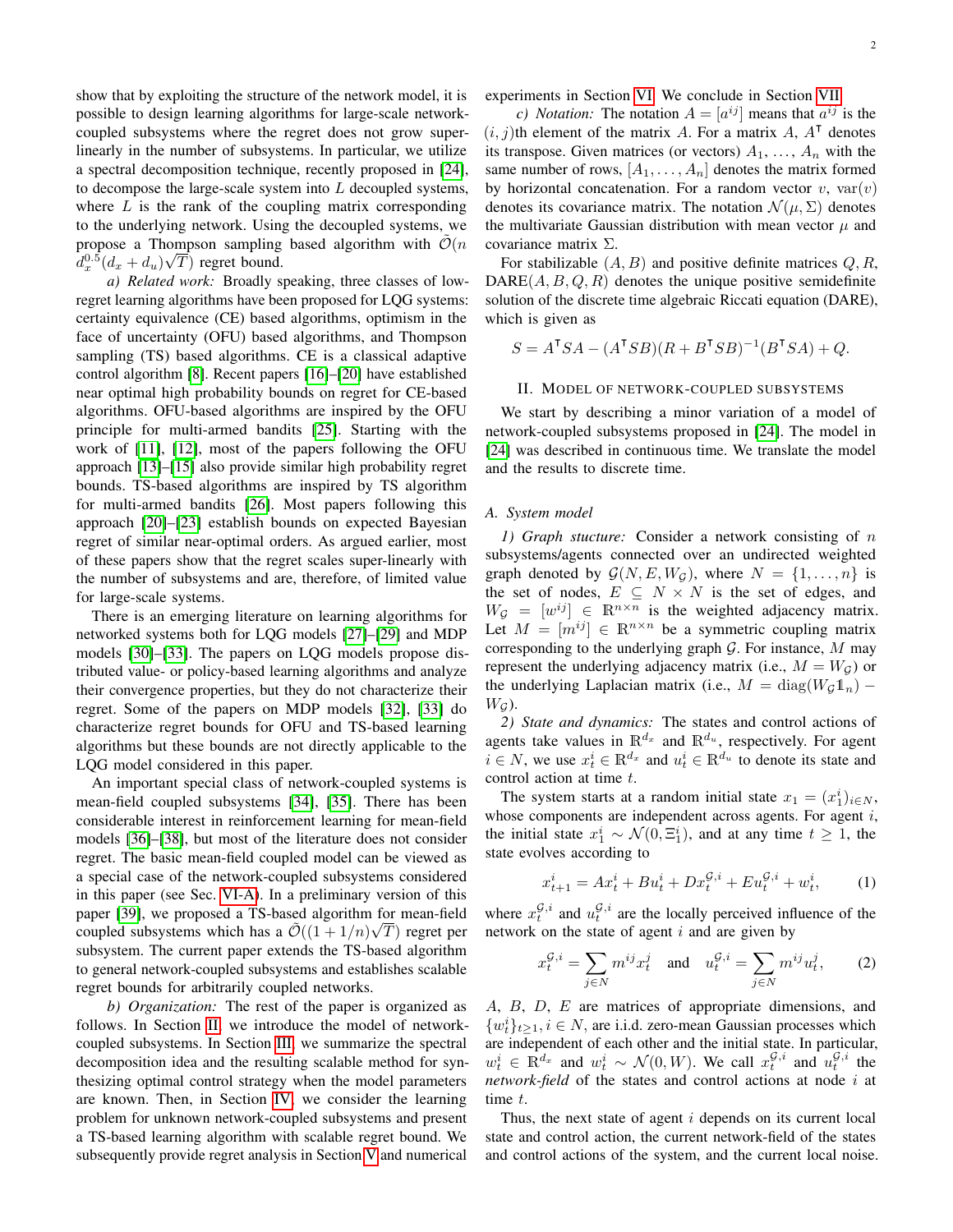show that by exploiting the structure of the network model, it is possible to design learning algorithms for large-scale networkcoupled subsystems where the regret does not grow superlinearly in the number of subsystems. In particular, we utilize a spectral decomposition technique, recently proposed in [\[24\]](#page-9-7), to decompose the large-scale system into  $L$  decoupled systems, where  $L$  is the rank of the coupling matrix corresponding to the underlying network. Using the decoupled systems, we propose a Thompson sampling based algorithm with  $\tilde{\mathcal{O}}(n)$  $d_x^{0.5}(d_x + d_u)\sqrt{T})$  regret bound.

*a) Related work:* Broadly speaking, three classes of lowregret learning algorithms have been proposed for LQG systems: certainty equivalence (CE) based algorithms, optimism in the face of uncertainty (OFU) based algorithms, and Thompson sampling (TS) based algorithms. CE is a classical adaptive control algorithm [\[8\]](#page-9-1). Recent papers [\[16\]](#page-9-8)–[\[20\]](#page-9-9) have established near optimal high probability bounds on regret for CE-based algorithms. OFU-based algorithms are inspired by the OFU principle for multi-armed bandits [\[25\]](#page-9-10). Starting with the work of [\[11\]](#page-9-4), [\[12\]](#page-9-11), most of the papers following the OFU approach [\[13\]](#page-9-12)–[\[15\]](#page-9-13) also provide similar high probability regret bounds. TS-based algorithms are inspired by TS algorithm for multi-armed bandits [\[26\]](#page-9-14). Most papers following this approach [\[20\]](#page-9-9)–[\[23\]](#page-9-5) establish bounds on expected Bayesian regret of similar near-optimal orders. As argued earlier, most of these papers show that the regret scales super-linearly with the number of subsystems and are, therefore, of limited value for large-scale systems.

There is an emerging literature on learning algorithms for networked systems both for LQG models [\[27\]](#page-9-15)–[\[29\]](#page-9-16) and MDP models [\[30\]](#page-9-17)–[\[33\]](#page-9-18). The papers on LQG models propose distributed value- or policy-based learning algorithms and analyze their convergence properties, but they do not characterize their regret. Some of the papers on MDP models [\[32\]](#page-9-19), [\[33\]](#page-9-18) do characterize regret bounds for OFU and TS-based learning algorithms but these bounds are not directly applicable to the LQG model considered in this paper.

An important special class of network-coupled systems is mean-field coupled subsystems [\[34\]](#page-9-20), [\[35\]](#page-9-21). There has been considerable interest in reinforcement learning for mean-field models [\[36\]](#page-9-22)–[\[38\]](#page-9-23), but most of the literature does not consider regret. The basic mean-field coupled model can be viewed as a special case of the network-coupled subsystems considered in this paper (see Sec. [VI-A\)](#page-7-0). In a preliminary version of this paper [\[39\]](#page-9-24), we proposed a TS-based algorithm for mean-field coupled subsystems which has a  $\mathcal{O}((1+1/n)\sqrt{T})$  regret per subsystem. The current paper extends the TS-based algorithm to general network-coupled subsystems and establishes scalable regret bounds for arbitrarily coupled networks.

*b) Organization:* The rest of the paper is organized as follows. In Section [II,](#page-1-0) we introduce the model of networkcoupled subsystems. In Section [III,](#page-2-0) we summarize the spectral decomposition idea and the resulting scalable method for synthesizing optimal control strategy when the model parameters are known. Then, in Section [IV,](#page-4-0) we consider the learning problem for unknown network-coupled subsystems and present a TS-based learning algorithm with scalable regret bound. We subsequently provide regret analysis in Section [V](#page-6-0) and numerical

experiments in Section [VI.](#page-7-1) We conclude in Section [VII.](#page-8-2)

*c*) *Notation:* The notation  $A = [a^{ij}]$  means that  $a^{ij}$  is the  $(i, j)$ th element of the matrix A. For a matrix A,  $A^{\mathsf{T}}$  denotes its transpose. Given matrices (or vectors)  $A_1, \ldots, A_n$  with the same number of rows,  $[A_1, \ldots, A_n]$  denotes the matrix formed by horizontal concatenation. For a random vector  $v$ ,  $var(v)$ denotes its covariance matrix. The notation  $\mathcal{N}(\mu, \Sigma)$  denotes the multivariate Gaussian distribution with mean vector  $\mu$  and covariance matrix Σ.

For stabilizable  $(A, B)$  and positive definite matrices  $Q, R$ ,  $DARE(A, B, Q, R)$  denotes the unique positive semidefinite solution of the discrete time algebraic Riccati equation (DARE), which is given as

$$
S = AT SA - (AT SB)(R + BT SB)-1(BT SA) + Q.
$$

#### II. MODEL OF NETWORK-COUPLED SUBSYSTEMS

<span id="page-1-0"></span>We start by describing a minor variation of a model of network-coupled subsystems proposed in [\[24\]](#page-9-7). The model in [\[24\]](#page-9-7) was described in continuous time. We translate the model and the results to discrete time.

# *A. System model*

*1) Graph stucture:* Consider a network consisting of n subsystems/agents connected over an undirected weighted graph denoted by  $G(N, E, W_G)$ , where  $N = \{1, \ldots, n\}$  is the set of nodes,  $E \subseteq N \times N$  is the set of edges, and  $W_{\mathcal{G}} = [w^{ij}] \in \mathbb{R}^{n \times n}$  is the weighted adjacency matrix. Let  $M = [m^{ij}] \in \mathbb{R}^{n \times n}$  be a symmetric coupling matrix corresponding to the underlying graph  $G$ . For instance,  $M$  may represent the underlying adjacency matrix (i.e.,  $M = W<sub>G</sub>$ ) or the underlying Laplacian matrix (i.e.,  $M = \text{diag}(W_{\mathcal{G}} \mathbb{1}_n)$  –  $W_G$ ).

*2) State and dynamics:* The states and control actions of agents take values in  $\mathbb{R}^{d_x}$  and  $\mathbb{R}^{d_u}$ , respectively. For agent  $i \in N$ , we use  $x_t^i \in \mathbb{R}^{d_x}$  and  $u_t^i \in \mathbb{R}^{d_u}$  to denote its state and control action at time t.

The system starts at a random initial state  $x_1 = (x_1^i)_{i \in N}$ , whose components are independent across agents. For agent  $i$ , the initial state  $x_1^i \sim \mathcal{N}(0, \Xi_1^i)$ , and at any time  $t \geq 1$ , the state evolves according to

$$
x_{t+1}^i = Ax_t^i + Bu_t^i + Dx_t^{\mathcal{G},i} + Eu_t^{\mathcal{G},i} + w_t^i,
$$
 (1)

where  $x_t^{\mathcal{G},i}$  and  $u_t^{\mathcal{G},i}$  are the locally perceived influence of the network on the state of agent  $i$  and are given by

$$
x_t^{\mathcal{G},i} = \sum_{j \in N} m^{ij} x_t^j \quad \text{and} \quad u_t^{\mathcal{G},i} = \sum_{j \in N} m^{ij} u_t^j, \tag{2}
$$

A, B, D, E are matrices of appropriate dimensions, and  ${w_t^i}_{t\geq 1, i}$  ∈ N, are i.i.d. zero-mean Gaussian processes which are independent of each other and the initial state. In particular,  $w_t^i \in \mathbb{R}^{d_x}$  and  $w_t^i \sim \mathcal{N}(0, W)$ . We call  $x_t^{\mathcal{G}, i}$  and  $u_t^{\mathcal{G}, i}$  the *network-field* of the states and control actions at node i at time t.

Thus, the next state of agent  $i$  depends on its current local state and control action, the current network-field of the states and control actions of the system, and the current local noise.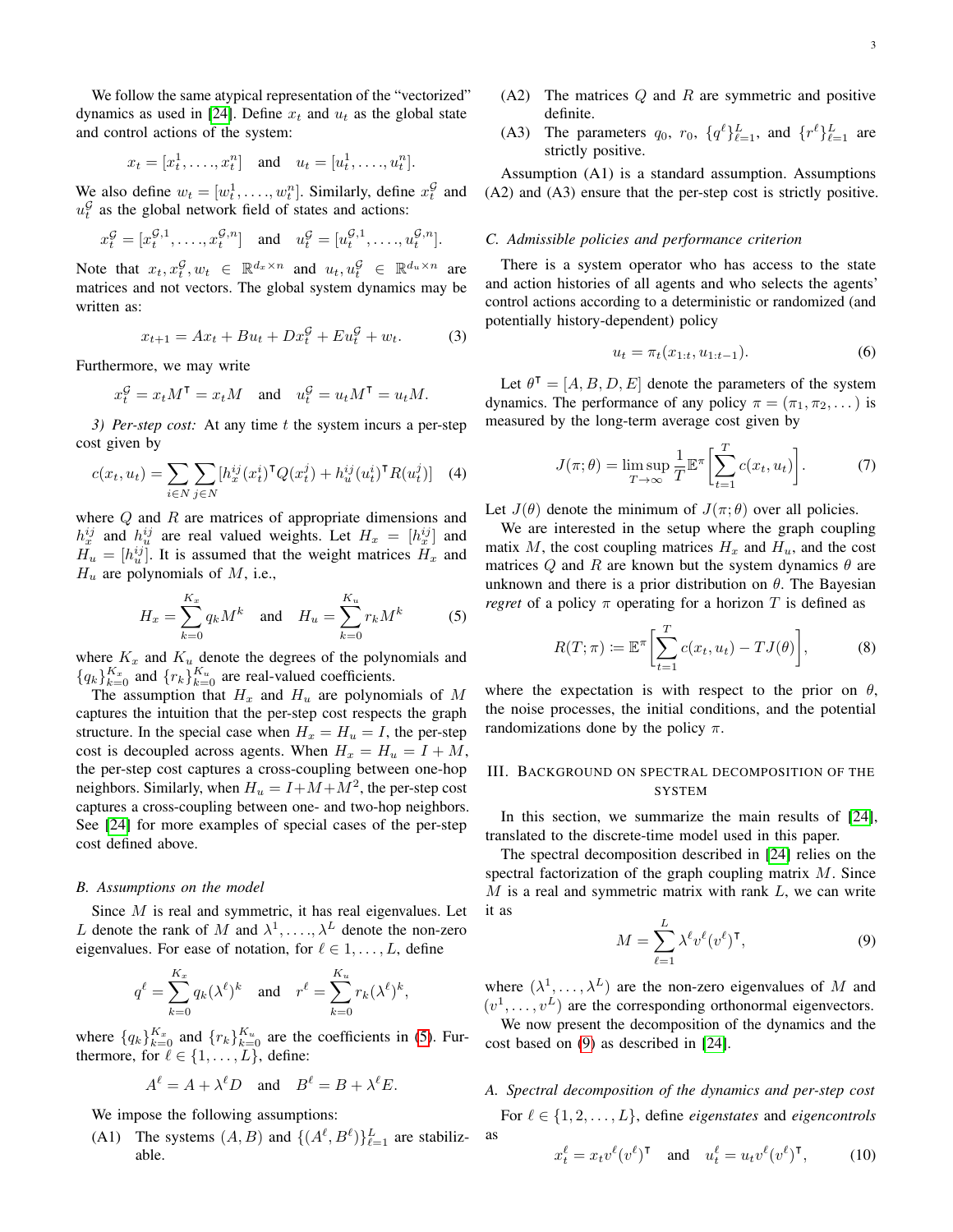We follow the same atypical representation of the "vectorized" dynamics as used in [\[24\]](#page-9-7). Define  $x_t$  and  $u_t$  as the global state and control actions of the system:

$$
x_t = [x_t^1, \dots, x_t^n]
$$
 and  $u_t = [u_t^1, \dots, u_t^n]$ .

We also define  $w_t = [w_t^1, \dots, w_t^n]$ . Similarly, define  $x_t^{\mathcal{G}}$  and  $u_t^{\mathcal{G}}$  as the global network field of states and actions:

$$
x_t^{\mathcal{G}} = [x_t^{\mathcal{G},1}, \ldots, x_t^{\mathcal{G},n}]
$$
 and  $u_t^{\mathcal{G}} = [u_t^{\mathcal{G},1}, \ldots, u_t^{\mathcal{G},n}].$ 

Note that  $x_t, x_t^{\mathcal{G}}, w_t \in \mathbb{R}^{d_x \times n}$  and  $u_t, u_t^{\mathcal{G}} \in \mathbb{R}^{d_u \times n}$  are matrices and not vectors. The global system dynamics may be written as:

$$
x_{t+1} = Ax_t + Bu_t + Dx_t^{\mathcal{G}} + Eu_t^{\mathcal{G}} + w_t.
$$
 (3)

Furthermore, we may write

$$
x_t^{\mathcal{G}} = x_t M^{\mathsf{T}} = x_t M
$$
 and  $u_t^{\mathcal{G}} = u_t M^{\mathsf{T}} = u_t M$ .

*3) Per-step cost:* At any time t the system incurs a per-step cost given by

$$
c(x_t, u_t) = \sum_{i \in N} \sum_{j \in N} [h_x^{ij}(x_t^i)^\mathsf{T} Q(x_t^j) + h_u^{ij}(u_t^i)^\mathsf{T} R(u_t^j)] \quad (4)
$$

where  $Q$  and  $R$  are matrices of appropriate dimensions and  $h_x^{ij}$  and  $h_y^{ij}$  are real valued weights. Let  $H_x = [h_x^{ij}]$  and  $H_u = [h_u^{ij}]$ . It is assumed that the weight matrices  $H_x$  and  $H_u$  are polynomials of  $M$ , i.e.,

<span id="page-2-1"></span>
$$
H_x = \sum_{k=0}^{K_x} q_k M^k \quad \text{and} \quad H_u = \sum_{k=0}^{K_u} r_k M^k \tag{5}
$$

where  $K_x$  and  $K_u$  denote the degrees of the polynomials and  ${q_k}_{k=0}^{K_x}$  and  ${r_k}_{k=0}^{K_u}$  are real-valued coefficients.

The assumption that  $H_x$  and  $H_u$  are polynomials of M captures the intuition that the per-step cost respects the graph structure. In the special case when  $H_x = H_u = I$ , the per-step cost is decoupled across agents. When  $H_x = H_u = I + M$ , the per-step cost captures a cross-coupling between one-hop neighbors. Similarly, when  $H_u = I + M + M^2$ , the per-step cost captures a cross-coupling between one- and two-hop neighbors. See [\[24\]](#page-9-7) for more examples of special cases of the per-step cost defined above.

# *B. Assumptions on the model*

Since  $M$  is real and symmetric, it has real eigenvalues. Let L denote the rank of M and  $\lambda^1, \ldots, \lambda^L$  denote the non-zero eigenvalues. For ease of notation, for  $\ell \in 1, \ldots, L$ , define

$$
q^{\ell} = \sum_{k=0}^{K_x} q_k(\lambda^{\ell})^k \quad \text{and} \quad r^{\ell} = \sum_{k=0}^{K_u} r_k(\lambda^{\ell})^k,
$$

where  ${q_k}_{k=0}^{K_x}$  and  ${r_k}_{k=0}^{K_u}$  are the coefficients in [\(5\)](#page-2-1). Furthermore, for  $\ell \in \{1, \ldots, L\}$ , define:

$$
A^{\ell} = A + \lambda^{\ell} D \quad \text{and} \quad B^{\ell} = B + \lambda^{\ell} E.
$$

We impose the following assumptions:

(A1) The systems  $(A, B)$  and  $\{(A^{\ell}, B^{\ell})\}_{\ell=1}^{L}$  are stabilizable.

- $(A2)$  The matrices Q and R are symmetric and positive definite.
- (A3) The parameters  $q_0$ ,  $r_0$ ,  $\{q^{\ell}\}_{\ell=1}^L$ , and  $\{r^{\ell}\}_{\ell=1}^L$  are strictly positive.

Assumption (A1) is a standard assumption. Assumptions (A2) and (A3) ensure that the per-step cost is strictly positive.

# *C. Admissible policies and performance criterion*

There is a system operator who has access to the state and action histories of all agents and who selects the agents' control actions according to a deterministic or randomized (and potentially history-dependent) policy

$$
u_t = \pi_t(x_{1:t}, u_{1:t-1}).\tag{6}
$$

Let  $\theta^{\mathsf{T}} = [A, B, D, E]$  denote the parameters of the system dynamics. The performance of any policy  $\pi = (\pi_1, \pi_2, \dots)$  is measured by the long-term average cost given by

<span id="page-2-3"></span>
$$
J(\pi; \theta) = \limsup_{T \to \infty} \frac{1}{T} \mathbb{E}^{\pi} \left[ \sum_{t=1}^{T} c(x_t, u_t) \right]. \tag{7}
$$

Let  $J(\theta)$  denote the minimum of  $J(\pi;\theta)$  over all policies.

We are interested in the setup where the graph coupling matix M, the cost coupling matrices  $H_x$  and  $H_y$ , and the cost matrices Q and R are known but the system dynamics  $\theta$  are unknown and there is a prior distribution on  $\theta$ . The Bayesian *regret* of a policy  $\pi$  operating for a horizon T is defined as

$$
R(T; \pi) := \mathbb{E}^{\pi} \left[ \sum_{t=1}^{T} c(x_t, u_t) - TJ(\theta) \right], \tag{8}
$$

where the expectation is with respect to the prior on  $\theta$ , the noise processes, the initial conditions, and the potential randomizations done by the policy  $\pi$ .

# <span id="page-2-0"></span>III. BACKGROUND ON SPECTRAL DECOMPOSITION OF THE SYSTEM

In this section, we summarize the main results of [\[24\]](#page-9-7), translated to the discrete-time model used in this paper.

The spectral decomposition described in [\[24\]](#page-9-7) relies on the spectral factorization of the graph coupling matrix  $M$ . Since  $M$  is a real and symmetric matrix with rank  $L$ , we can write it as

<span id="page-2-2"></span>
$$
M = \sum_{\ell=1}^{L} \lambda^{\ell} v^{\ell} (v^{\ell})^{\mathsf{T}}, \tag{9}
$$

where  $(\lambda^1, \dots, \lambda^L)$  are the non-zero eigenvalues of M and  $(v^1, \ldots, v^L)$  are the corresponding orthonormal eigenvectors.

We now present the decomposition of the dynamics and the cost based on [\(9\)](#page-2-2) as described in [\[24\]](#page-9-7).

### *A. Spectral decomposition of the dynamics and per-step cost*

For  $\ell \in \{1, 2, \ldots, L\}$ , define *eigenstates* and *eigencontrols* as

<span id="page-2-4"></span>
$$
x_t^{\ell} = x_t v^{\ell} (v^{\ell})^{\mathsf{T}} \quad \text{and} \quad u_t^{\ell} = u_t v^{\ell} (v^{\ell})^{\mathsf{T}}, \tag{10}
$$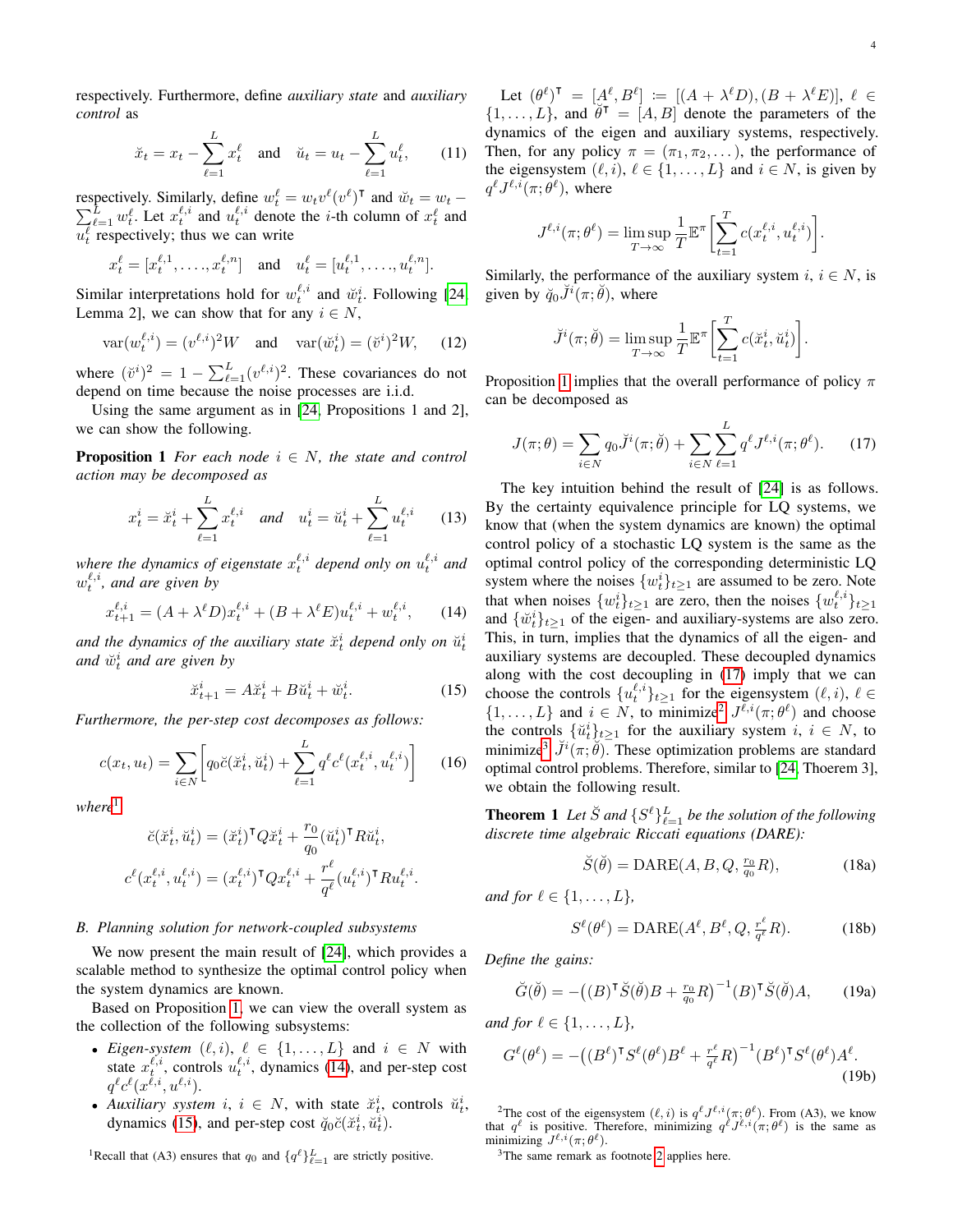4

respectively. Furthermore, define *auxiliary state* and *auxiliary control* as

<span id="page-3-9"></span>
$$
\breve{x}_t = x_t - \sum_{\ell=1}^L x_t^{\ell}
$$
 and  $\breve{u}_t = u_t - \sum_{\ell=1}^L u_t^{\ell}$ , (11)

respectively. Similarly, define  $w_t^{\ell} = w_t v^{\ell} (v^{\ell})^{\mathsf{T}}$ P pectively. Similarly, define  $w_t^{\ell} = w_t v^{\ell} (v^{\ell})^{\mathsf{T}}$  and  $\breve{w}_t = w_t - \frac{L}{\ell-1} w_t^{\ell}$ . Let  $x_t^{\ell,i}$  and  $u_t^{\ell,i}$  denote the *i*-th column of  $x_t^{\ell}$  and  $u_t^{\ell}$  respectively; thus we can write

$$
x_t^{\ell} = [x_t^{\ell,1}, \ldots, x_t^{\ell,n}]
$$
 and  $u_t^{\ell} = [u_t^{\ell,1}, \ldots, u_t^{\ell,n}].$ 

Similar interpretations hold for  $w_t^{\ell,i}$  and  $\breve{w}_t^i$ . Following [\[24,](#page-9-7) Lemma 2], we can show that for any  $i \in N$ ,

$$
\text{var}(w_t^{\ell,i}) = (v^{\ell,i})^2 W \quad \text{and} \quad \text{var}(\breve{w}_t^i) = (\breve{v}^i)^2 W, \tag{12}
$$

where  $(\check{v}^i)^2 = 1 - \sum_{\ell=1}^L (v^{\ell,i})^2$ . These covariances do not depend on time because the noise processes are i.i.d.

Using the same argument as in [\[24,](#page-9-7) Propositions 1 and 2], we can show the following.

**Proposition 1** *For each node*  $i \in N$ *, the state and control action may be decomposed as*

<span id="page-3-1"></span>
$$
x_t^i = \ddot{x}_t^i + \sum_{\ell=1}^L x_t^{\ell, i} \quad \text{and} \quad u_t^i = \ddot{u}_t^i + \sum_{\ell=1}^L u_t^{\ell, i} \tag{13}
$$

where the dynamics of eigenstate  $x_t^{\ell,i}$  depend only on  $u_t^{\ell,i}$  and  $w_t^{\ell,i}$ , and are given by

<span id="page-3-2"></span>
$$
x_{t+1}^{\ell,i} = (A + \lambda^{\ell} D) x_t^{\ell,i} + (B + \lambda^{\ell} E) u_t^{\ell,i} + w_t^{\ell,i}, \qquad (14)
$$

and the dynamics of the auxiliary state  $\breve{x}_t^i$  depend only on  $\breve{u}_t^i$ and  $\breve{w}_t^i$  and are given by

<span id="page-3-3"></span>
$$
\ddot{x}_{t+1}^i = A\ddot{x}_t^i + B\ddot{u}_t^i + \ddot{w}_t^i.
$$
 (15)

*Furthermore, the per-step cost decomposes as follows:*

$$
c(x_t, u_t) = \sum_{i \in N} \left[ q_0 \breve{c}(\breve{x}_t^i, \breve{u}_t^i) + \sum_{\ell=1}^L q^{\ell} c^{\ell}(x_t^{\ell, i}, u_t^{\ell, i}) \right]
$$
(16)

where<sup>[1](#page-3-0)</sup>

$$
\breve{c}(\breve{x}^i_t, \breve{u}^i_t) = (\breve{x}^i_t)^{\mathsf{T}} Q \breve{x}^i_t + \frac{r_0}{q_0} (\breve{u}^i_t)^{\mathsf{T}} R \breve{u}^i_t,
$$
  

$$
c^{\ell}(x^{ \ell, i}_t, u^{ \ell, i}_t) = (x^{ \ell, i}_t)^{\mathsf{T}} Q x^{ \ell, i}_t + \frac{r^{\ell}}{q^{\ell}} (u^{ \ell, i}_t)^{\mathsf{T}} R u^{ \ell, i}_t.
$$

#### <span id="page-3-8"></span>*B. Planning solution for network-coupled subsystems*

We now present the main result of [\[24\]](#page-9-7), which provides a scalable method to synthesize the optimal control policy when the system dynamics are known.

Based on Proposition [1,](#page-3-1) we can view the overall system as the collection of the following subsystems:

- *Eigen-system*  $(\ell, i)$ ,  $\ell \in \{1, ..., L\}$  and  $i \in N$  with state  $x_t^{\ell,i}$ , controls  $u_t^{\ell,i}$ , dynamics [\(14\)](#page-3-2), and per-step cost  $q^\ell c^\ell(x^{\ell,i},u^{\ell,i}).$
- *Auxiliary system*  $i, i \in N$ , with state  $\ddot{x}_t^i$ , controls  $\ddot{u}_t^i$ , dynamics [\(15\)](#page-3-3), and per-step cost  $\breve{q}_0\breve{c}(\breve{x}_t^i, \breve{u}_t^i)$ .

<span id="page-3-0"></span><sup>1</sup>Recall that (A3) ensures that  $q_0$  and  $\{q^{\ell}\}_{\ell=1}^L$  are strictly positive.

Let  $(\theta^{\ell})^{\mathsf{T}} = [A^{\ell}, B^{\ell}] := [(A + \lambda^{\ell}D), (B + \lambda^{\ell}E)], \ell \in$  $\{1, \ldots, L\}$ , and  $\theta^{\dagger} = [A, B]$  denote the parameters of the dynamics of the eigen and auxiliary systems, respectively. Then, for any policy  $\pi = (\pi_1, \pi_2, \dots)$ , the performance of the eigensystem  $(\ell, i), \ell \in \{1, \ldots, L\}$  and  $i \in N$ , is given by  $q^{\ell} J^{\ell,i}(\pi;\theta^{\ell}),$  where

$$
J^{\ell,i}(\pi;\theta^{\ell}) = \limsup_{T \to \infty} \frac{1}{T} \mathbb{E}^{\pi} \left[ \sum_{t=1}^{T} c(x_t^{\ell,i}, u_t^{\ell,i}) \right].
$$

Similarly, the performance of the auxiliary system  $i, i \in N$ , is given by  $\check{q}_0 \check{J}^i(\pi;\check{\theta})$ , where

$$
\breve{J}^{i}(\pi;\breve{\theta}) = \limsup_{T \to \infty} \frac{1}{T} \mathbb{E}^{\pi} \left[ \sum_{t=1}^{T} c(\breve{x}_{t}^{i}, \breve{u}_{t}^{i}) \right].
$$

Proposition [1](#page-3-1) implies that the overall performance of policy  $\pi$ can be decomposed as

<span id="page-3-4"></span>
$$
J(\pi;\theta) = \sum_{i \in N} q_0 \breve{J}^i(\pi;\breve{\theta}) + \sum_{i \in N} \sum_{\ell=1}^L q^{\ell} J^{\ell,i}(\pi;\theta^{\ell}). \tag{17}
$$

The key intuition behind the result of [\[24\]](#page-9-7) is as follows. By the certainty equivalence principle for LQ systems, we know that (when the system dynamics are known) the optimal control policy of a stochastic LQ system is the same as the optimal control policy of the corresponding deterministic LQ system where the noises  $\{w_t^i\}_{t\geq 1}$  are assumed to be zero. Note that when noises  $\{w_t^i\}_{t\geq 1}$  are zero, then the noises  $\{w_t^{\ell,i}\}_{t\geq 1}$ and  $\{\tilde{w}_t^i\}_{t\geq 1}$  of the eigen- and auxiliary-systems are also zero. This, in turn, implies that the dynamics of all the eigen- and auxiliary systems are decoupled. These decoupled dynamics along with the cost decoupling in [\(17\)](#page-3-4) imply that we can choose the controls  $\{u_t^{\ell,i}\}_{t\geq 1}$  for the eigensystem  $(\ell, i)$ ,  $\ell \in$  $\{1,\ldots,L\}$  and  $i \in N$ , to minimize<sup>[2](#page-3-5)</sup>  $J^{\ell,i}(\pi;\theta^{\ell})$  and choose the controls  $\{\check{u}_t^i\}_{t\geq 1}$  for the auxiliary system  $i, i \in N$ , to minimize<sup>[3](#page-3-6)</sup>  $\overrightarrow{J}^i(\pi,\check{\theta})$ . These optimization problems are standard optimal control problems. Therefore, similar to [\[24,](#page-9-7) Thoerem 3], we obtain the following result.

**Theorem 1** Let  $\check{S}$  and  $\{S^{\ell}\}_{\ell=1}^{L}$  be the solution of the following *discrete time algebraic Riccati equations (DARE):*

<span id="page-3-7"></span>
$$
\breve{S}(\breve{\theta}) = \text{DARE}(A, B, Q, \frac{r_0}{q_0}R),\tag{18a}
$$

*and for*  $l \in \{1, ..., L\}$ *,* 

$$
S^{\ell}(\theta^{\ell}) = \text{DARE}(A^{\ell}, B^{\ell}, Q, \frac{r^{\ell}}{q^{\ell}}R). \tag{18b}
$$

*Define the gains:*

$$
\breve{G}(\breve{\theta}) = -\big((B)^{\mathsf{T}}\breve{S}(\breve{\theta})B + \frac{r_0}{q_0}R\big)^{-1}(B)^{\mathsf{T}}\breve{S}(\breve{\theta})A,\qquad(19a)
$$

*and for*  $l \in \{1, ..., L\}$ ,

$$
G^{\ell}(\theta^{\ell}) = -\left( (B^{\ell})^{\mathsf{T}} S^{\ell}(\theta^{\ell}) B^{\ell} + \frac{r^{\ell}}{q^{\ell}} R \right)^{-1} (B^{\ell})^{\mathsf{T}} S^{\ell}(\theta^{\ell}) A^{\ell}.
$$
\n(19b)

<span id="page-3-5"></span><sup>2</sup>The cost of the eigensystem  $(\ell, i)$  is  $q^{\ell} J^{\ell, i}(\pi; \theta^{\ell})$ . From (A3), we know that  $q^{\ell}$  is positive. Therefore, minimizing  $q^{\ell} J^{\ell,i}(\pi;\theta^{\ell})$  is the same as minimizing  $J^{\ell,i}(\pi;\theta^{\ell}).$ 

<span id="page-3-6"></span><sup>3</sup>The same remark as footnote [2](#page-3-5) applies here.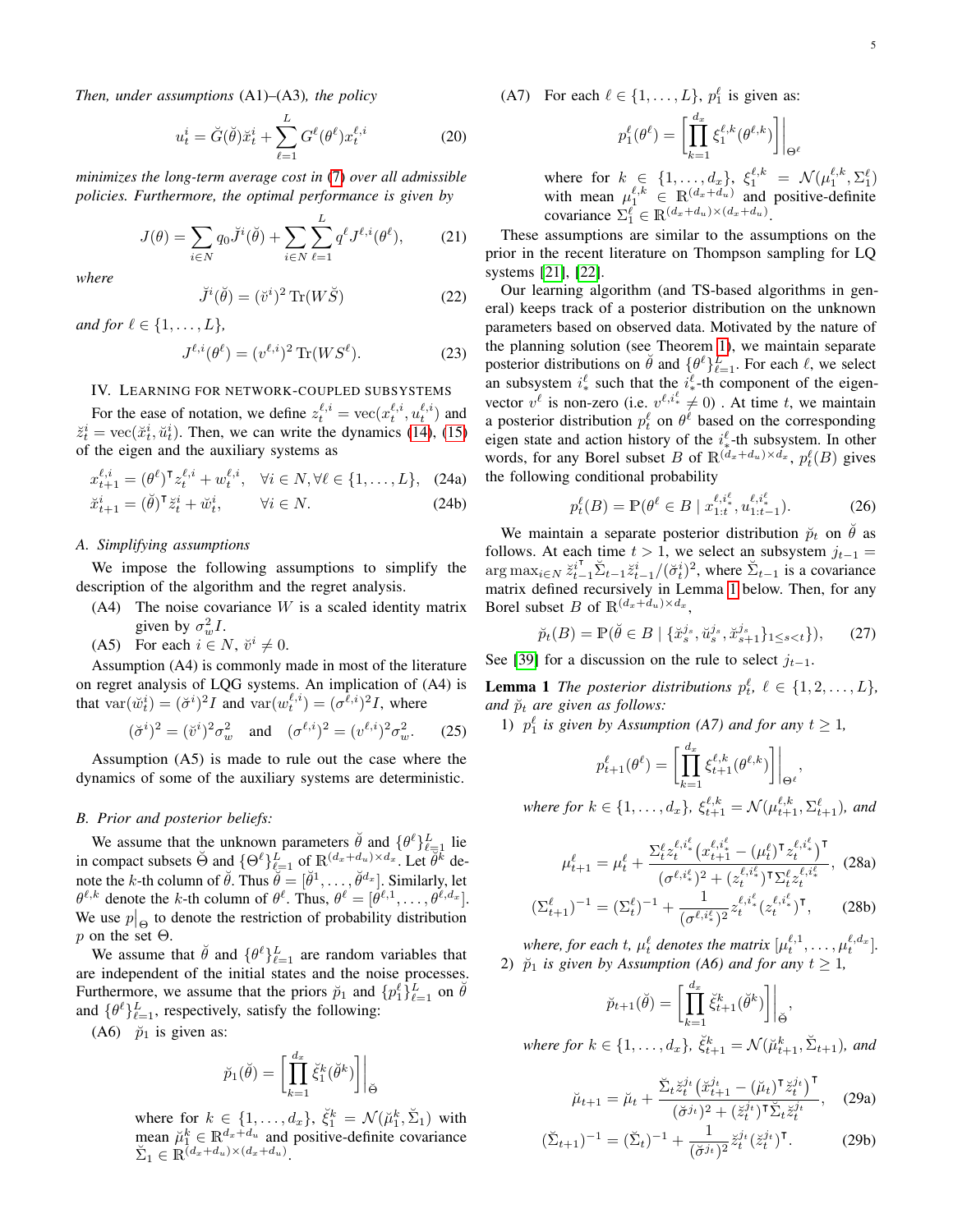*Then, under assumptions* (A1)–(A3)*, the policy*

$$
u_t^i = \breve{G}(\breve{\theta}) \breve{x}_t^i + \sum_{\ell=1}^L G^{\ell}(\theta^{\ell}) x_t^{\ell, i}
$$
 (20)

*minimizes the long-term average cost in* [\(7\)](#page-2-3) *over all admissible policies. Furthermore, the optimal performance is given by*

$$
J(\theta) = \sum_{i \in N} q_0 \breve{J}^i(\breve{\theta}) + \sum_{i \in N} \sum_{\ell=1}^L q^{\ell} J^{\ell, i}(\theta^{\ell}), \qquad (21)
$$

*where*

$$
\check{J}^i(\check{\theta}) = (\check{v}^i)^2 \operatorname{Tr}(W\check{S}) \tag{22}
$$

*and for*  $l \in \{1, ..., L\}$ *,* 

<span id="page-4-5"></span>
$$
J^{\ell,i}(\theta^{\ell}) = (v^{\ell,i})^2 \operatorname{Tr}(WS^{\ell}). \tag{23}
$$

# <span id="page-4-0"></span>IV. LEARNING FOR NETWORK-COUPLED SUBSYSTEMS

For the ease of notation, we define  $z_t^{\ell,i} = \text{vec}(x_t^{\ell,i}, u_t^{\ell,i})$  and  $\ddot{z}_t^i = \text{vec}(\ddot{x}_t^i, \ddot{u}_t^i)$ . Then, we can write the dynamics [\(14\)](#page-3-2), [\(15\)](#page-3-3) of the eigen and the auxiliary systems as

$$
x_{t+1}^{\ell,i} = (\theta^{\ell})^{\mathsf{T}} z_t^{\ell,i} + w_t^{\ell,i}, \quad \forall i \in \mathbb{N}, \forall \ell \in \{1, \dots, L\}, \quad (24a)
$$

$$
\breve{x}_{t+1}^i = (\breve{\theta})^\mathsf{T} \breve{z}_t^i + \breve{w}_t^i, \qquad \forall i \in N. \tag{24b}
$$

# *A. Simplifying assumptions*

We impose the following assumptions to simplify the description of the algorithm and the regret analysis.

- $(A4)$  The noise covariance W is a scaled identity matrix given by  $\sigma_w^2 I$ .
- (A5) For each  $i \in N$ ,  $\breve{v}^i \neq 0$ .

Assumption (A4) is commonly made in most of the literature on regret analysis of LQG systems. An implication of (A4) is that  $var(\check{w}_t^i) = (\check{\sigma}^i)^2 I$  and  $var(w_t^{\ell,i}) = (\check{\sigma}^{\ell,i})^2 I$ , where

<span id="page-4-6"></span>
$$
(\check{\sigma}^i)^2 = (\check{v}^i)^2 \sigma_w^2
$$
 and  $(\sigma^{\ell,i})^2 = (v^{\ell,i})^2 \sigma_w^2$ . (25)

Assumption (A5) is made to rule out the case where the dynamics of some of the auxiliary systems are deterministic.

# *B. Prior and posterior beliefs:*

We assume that the unknown parameters  $\check{\theta}$  and  $\{\theta^{\ell}\}_{\ell=1}^{L}$  lie in compact subsets  $\breve{\Theta}$  and  $\{\Theta^{\ell}\}_{\ell=1}^L$  of  $\mathbb{R}^{(d_x+d_u)\times d_x}$ . Let  $\breve{\theta}^{\vec{k}}$  denote the k-th column of  $\check{\theta}$ . Thus  $\check{\theta} = [\check{\theta}^1, \dots, \check{\theta}^{d_x}]$ . Similarly, let  $\theta^{\ell,k}$  denote the k-th column of  $\theta^{\ell}$ . Thus,  $\theta^{\ell} = [\theta^{\ell,1}, \dots, \theta^{\ell,d_x}].$ We use  $p|_{\Theta}$  to denote the restriction of probability distribution p on the set  $\Theta$ .

We assume that  $\ddot{\theta}$  and  $\{\theta^{\ell}\}_{\ell=1}^{L}$  are random variables that are independent of the initial states and the noise processes. Furthermore, we assume that the priors  $\check{p}_1$  and  $\{p_1^{\ell}\}_{\ell=1}^L$  on  $\check{\theta}$ and  $\{\theta^{\ell}\}_{\ell=1}^{L}$ , respectively, satisfy the following:

(A6)  $\tilde{p}_1$  is given as:

$$
\breve{p}_1(\breve{\theta}) = \left[ \prod_{k=1}^{d_x} \breve{\xi}_1^k(\breve{\theta}^k) \right] \Big|_{\breve{\Theta}}
$$

where for  $k \in \{1, \ldots, d_x\}$ ,  $\breve{\xi}_1^k = \mathcal{N}(\breve{\mu}_1^k, \breve{\Sigma}_1)$  with mean  $\mu_1^k \in \mathbb{R}^{d_x+d_u}$  and positive-definite covariance  $\sum_{1} \in \mathbb{R}^{(d_x+d_u)\times(d_x+d_u)}$ .

(A7) For each  $\ell \in \{1, \ldots, L\}$ ,  $p_1^{\ell}$  is given as:

$$
p_1^{\ell}(\theta^{\ell}) = \left[ \prod_{k=1}^{d_x} \xi_1^{\ell,k}(\theta^{\ell,k}) \right] \Big|_{\Theta^{\ell}}
$$

where for  $k \in \{1, \ldots, d_x\}, \xi_1^{\ell, k} = \mathcal{N}(\mu_1^{\ell, k}, \Sigma_1^{\ell})$ with mean  $\mu_1^{\ell,k} \in \mathbb{R}^{(d_x+d_u)}$  and positive-definite covariance  $\Sigma_1^{\ell} \in \mathbb{R}^{(d_x+d_u)\times(d_x+d_u)}$ .

These assumptions are similar to the assumptions on the prior in the recent literature on Thompson sampling for LQ systems [\[21\]](#page-9-25), [\[22\]](#page-9-26).

Our learning algorithm (and TS-based algorithms in general) keeps track of a posterior distribution on the unknown parameters based on observed data. Motivated by the nature of the planning solution (see Theorem [1\)](#page-3-7), we maintain separate posterior distributions on  $\ddot{\theta}$  and  $\{\theta^{\ell}\}_{\ell=1}^{L}$ . For each  $\ell$ , we select an subsystem  $i^{\ell}_*$  such that the  $i^{\ell}_*$ -th component of the eigenvector  $v^{\ell}$  is non-zero (i.e.  $v^{\ell, i_{*}^{\ell}} \neq 0$ ). At time t, we maintain a posterior distribution  $p_t^{\ell}$  on  $\theta^{\ell}$  based on the corresponding eigen state and action history of the  $i^{\ell}_*$ -th subsystem. In other words, for any Borel subset B of  $\mathbb{R}^{(d_x+d_u)\times d_x}$ ,  $p_t^{\ell}(B)$  gives the following conditional probability

$$
p_t^{\ell}(B) = \mathbb{P}(\theta^{\ell} \in B \mid x_{1:t}^{\ell, i_*^{\ell}}, u_{1:t-1}^{\ell, i_*^{\ell}}). \tag{26}
$$

<span id="page-4-2"></span>We maintain a separate posterior distribution  $\breve{p}_t$  on  $\dot{\theta}$  as follows. At each time  $t > 1$ , we select an subsystem  $j_{t-1} =$ arg  $\max_{i \in N} z_{t-1}^{i^{\text{T}}} \sum_{t=1}^{i^{\text{T}}} z_{t-1}^{i} / (\check{\sigma}_t^i)^2$ , where  $\Sigma_{t-1}$  is a covariance matrix defined recursively in Lemma [1](#page-4-1) below. Then, for any Borel subset B of  $\mathbb{R}^{(d_x+d_u)\times d_x}$ ,

$$
\breve{p}_t(B) = \mathbb{P}(\breve{\theta} \in B \mid \{\breve{x}_s^{j_s}, \breve{u}_s^{j_s}, \breve{x}_{s+1}^{j_s}\}_{1 \le s < t}\}), \quad (27)
$$

See [\[39\]](#page-9-24) for a discussion on the rule to select  $j_{t-1}$ .

<span id="page-4-1"></span>**Lemma 1** The posterior distributions  $p_t^{\ell}$ ,  $\ell \in \{1, 2, ..., L\}$ , *and*  $\breve{p}_t$  *are given as follows:* 

1)  $p_1^{\ell}$  is given by Assumption (A7) and for any  $t \geq 1$ ,

$$
p_{t+1}^{\ell}(\theta^{\ell}) = \left[ \prod_{k=1}^{d_x} \xi_{t+1}^{\ell,k}(\theta^{\ell,k}) \right] \bigg|_{\Theta^{\ell}},
$$

<span id="page-4-3"></span> $where for k \in \{1, ..., d_x\}, \xi_{t+1}^{\ell,k} = \mathcal{N}(\mu_{t+1}^{\ell,k}, \Sigma_{t+1}^{\ell}), and$ 

$$
\mu_{t+1}^{\ell} = \mu_t^{\ell} + \frac{\Sigma_t^{\ell} z_t^{\ell, i_*^{\ell}} \left( x_{t+1}^{\ell, i_*^{\ell}} - (\mu_t^{\ell})^{\mathsf{T}} z_t^{\ell, i_*^{\ell}} \right)^{\mathsf{T}}}{(\sigma^{\ell, i_*^{\ell}})^2 + (z_t^{\ell, i_*^{\ell}})^{\mathsf{T}} \Sigma_t^{\ell} z_t^{\ell, i_*^{\ell}}}, \tag{28a}
$$
\n
$$
(\Sigma_{t+1}^{\ell})^{-1} = (\Sigma_t^{\ell})^{-1} + \frac{1}{(\sigma^{\ell, i_*^{\ell}})^2} z_t^{\ell, i_*^{\ell}} (z_t^{\ell, i_*^{\ell}})^{\mathsf{T}}, \tag{28b}
$$

where, for each t,  $\mu_t^{\ell}$  denotes the matrix  $[\mu_t^{\ell,1}, \ldots, \mu_t^{\ell,d_x}].$ 2)  $\widetilde{p}_1$  *is given by Assumption (A6) and for any*  $t \geq 1$ *,* 

$$
\breve{p}_{t+1}(\breve{\theta}) = \left[ \prod_{k=1}^{d_x} \breve{\xi}_{t+1}^k(\breve{\theta}^k) \right] \Big|_{\breve{\Theta}},
$$

<span id="page-4-4"></span>where for  $k \in \{1, \ldots, d_x\}$ ,  $\breve{\xi}_{t+1}^k = \mathcal{N}(\breve{\mu}_{t+1}^k, \breve{\Sigma}_{t+1})$ , and

<span id="page-4-7"></span>
$$
\breve{\mu}_{t+1} = \breve{\mu}_t + \frac{\breve{\Sigma}_t \breve{z}_t^{j_t} \left( \breve{x}_{t+1}^{j_t} - (\breve{\mu}_t)^{\mathsf{T}} \breve{z}_t^{j_t} \right)^{\mathsf{T}}}{(\breve{\sigma}^{j_t})^2 + (\breve{z}_t^{j_t})^{\mathsf{T}} \breve{\Sigma}_t \breve{z}_t^{j_t}}, \quad (29a)
$$

$$
(\breve{\Sigma}_{t+1})^{-1} = (\breve{\Sigma}_t)^{-1} + \frac{1}{(\breve{\sigma}^{j_t})^2} \breve{z}_t^{j_t} (\breve{z}_t^{j_t})^{\mathsf{T}}.
$$
 (29b)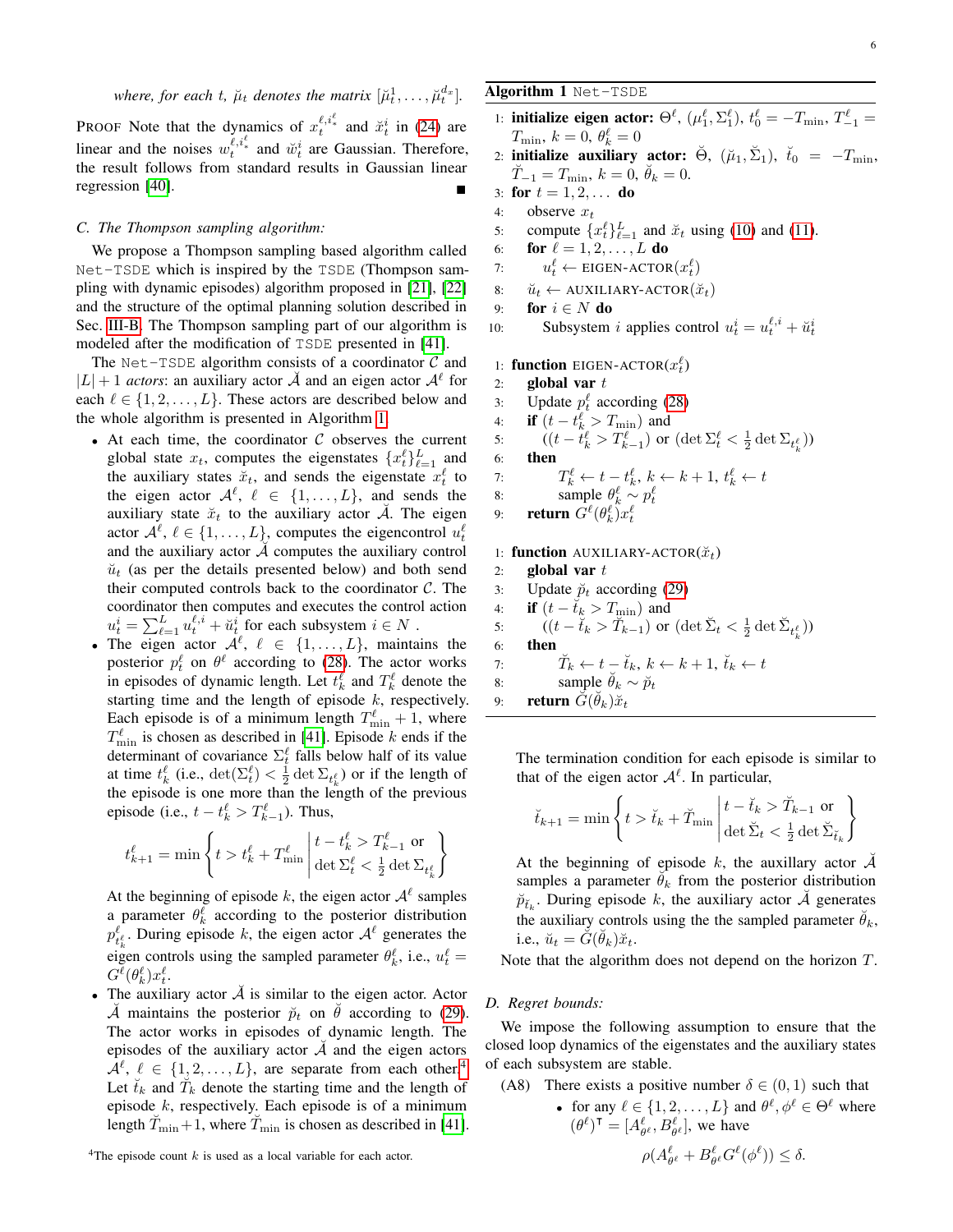PROOF Note that the dynamics of  $x_t^{\ell,i^{\ell}_*}$  and  $\check{x}_t^i$  in [\(24\)](#page-4-2) are linear and the noises  $w_t^{\ell,i^{\ell}_{*}}$  and  $\breve{w}_t^{i}$  are Gaussian. Therefore, the result follows from standard results in Gaussian linear regression [\[40\]](#page-9-27).

# *C. The Thompson sampling algorithm:*

We propose a Thompson sampling based algorithm called Net-TSDE which is inspired by the TSDE (Thompson sampling with dynamic episodes) algorithm proposed in [\[21\]](#page-9-25), [\[22\]](#page-9-26) and the structure of the optimal planning solution described in Sec. [III-B.](#page-3-8) The Thompson sampling part of our algorithm is modeled after the modification of TSDE presented in [\[41\]](#page-9-28).

The Net-TSDE algorithm consists of a coordinator  $\mathcal C$  and  $|L| + 1$  *actors*: an auxiliary actor  $\breve{\mathcal{A}}$  and an eigen actor  $\mathcal{A}^{\ell}$  for each  $\ell \in \{1, 2, \ldots, L\}$ . These actors are described below and the whole algorithm is presented in Algorithm [1.](#page-5-0)

- At each time, the coordinator  $C$  observes the current global state  $x_t$ , computes the eigenstates  $\{x_t^{\ell}\}_{\ell=1}^L$  and the auxiliary states  $\ddot{x}_t$ , and sends the eigenstate  $x_t^{\ell}$  to the eigen actor  $\mathcal{A}^{\ell}$ ,  $\ell \in \{1, ..., L\}$ , and sends the auxiliary state  $\check{x}_t$  to the auxiliary actor  $\check{A}$ . The eigen actor  $\mathcal{A}^{\ell}$ ,  $\ell \in \{1, \ldots, L\}$ , computes the eigencontrol  $u_t^{\ell}$ and the auxiliary actor  $\tilde{A}$  computes the auxiliary control  $\check{u}_t$  (as per the details presented below) and both send their computed controls back to the coordinator  $C$ . The coordinator then computes and executes the control action  $u_t^i = \sum_{\ell=1}^L u_t^{\ell,i} + \check{u}_t^i$  for each subsystem  $i \in N$ .
- The eigen actor  $\mathcal{A}^{\ell}$ ,  $\ell \in \{1, \ldots, L\}$ , maintains the posterior  $p_t^{\ell}$  on  $\theta^{\ell}$  according to [\(28\)](#page-4-3). The actor works in episodes of dynamic length. Let  $t_k^{\ell}$  and  $T_k^{\ell}$  denote the starting time and the length of episode  $k$ , respectively. Each episode is of a minimum length  $T^{\ell}_{\min} + 1$ , where  $T_{\min}^{\ell}$  is chosen as described in [\[41\]](#page-9-28). Episode k ends if the determinant of covariance  $\Sigma_t^{\ell}$  falls below half of its value at time  $t_k^{\ell}$  (i.e.,  $\det(\Sigma_t^{\ell}) < \frac{1}{2} \det \Sigma_{t_k^{\ell}}$ ) or if the length of the episode is one more than the length of the previous episode (i.e.,  $t - t_k^{\ell} > T_{k-1}^{\ell}$ ). Thus,

$$
t_{k+1}^{\ell} = \min\left\{t > t_k^{\ell} + T_{\min}^{\ell} \left| \frac{t - t_k^{\ell} > T_{k-1}^{\ell}}{\det \Sigma_t^{\ell} < \frac{1}{2} \det \Sigma_{t_k^{\ell}}} \right.\right\}
$$

At the beginning of episode k, the eigen actor  $\mathcal{A}^{\ell}$  samples a parameter  $\theta_k^{\ell}$  according to the posterior distribution  $p_{t_k^{\ell}}^{\ell}$ . During episode k, the eigen actor  $\mathcal{A}^{\ell}$  generates the eigen controls using the sampled parameter  $\theta_k^{\ell}$ , i.e.,  $u_t^{\ell} =$  $G^\ell(\theta_k^\ell)x_t^\ell.$ 

• The auxiliary actor  $\tilde{A}$  is similar to the eigen actor. Actor A maintains the posterior  $\breve{p}_t$  on  $\theta$  according to [\(29\)](#page-4-4). The actor works in episodes of dynamic length. The episodes of the auxiliary actor  $\tilde{A}$  and the eigen actors  $\mathcal{A}^{\ell}, \ell \in \{1, 2, \ldots, L\},$  are separate from each other.<sup>[4](#page-5-1)</sup> Let  $\check{t}_k$  and  $\check{T}_k$  denote the starting time and the length of episode  $k$ , respectively. Each episode is of a minimum length  $\tilde{T}_{\min}+1$ , where  $\tilde{T}_{\min}$  is chosen as described in [\[41\]](#page-9-28).

# <span id="page-5-0"></span>Algorithm 1 Net-TSDE

- 1: **initialize eigen actor:**  $\Theta^{\ell}$ ,  $(\mu_1^{\ell}, \Sigma_1^{\ell})$ ,  $t_0^{\ell} = -T_{\min}$ ,  $T_{-1}^{\ell} =$  $T_{\text{min}}, k = 0, \theta_k^{\ell} = 0$
- 2: initialize auxiliary actor:  $\breve{\Theta}$ ,  $(\breve{\mu}_1, \breve{\Sigma}_1)$ ,  $\breve{t}_0 = -T_{\text{min}}$ ,  $\breve{T}_{-1} = T_{\text{min}}, k = 0, \breve{\theta}_k = 0.$
- 3: for  $t = 1, 2, ...$  do
- 4: observe  $x_t$
- 5: compute  $\{x_t^{\ell}\}_{\ell=1}^L$  and  $\breve{x}_t$  using [\(10\)](#page-2-4) and [\(11\)](#page-3-9).
- 6: **for**  $\ell = 1, 2, ..., L$  **do**
- 7:  $u_t^{\ell} \leftarrow \text{EIGEN-ACTOR}(x_t^{\ell})$
- 8:  $\check{u}_t \leftarrow \text{AUXILIARY-ACTOR}(\check{x}_t)$
- 9: for  $i \in N$  do
- 10: Subsystem *i* applies control  $u_t^i = u_t^{\ell,i} + \breve{u}_t^i$

1: **function** EIGEN-ACTOR $(x_t^{\ell})$ 

- 2: global var  $t$
- 3: Update  $p_t^{\ell}$  according [\(28\)](#page-4-3)
- 4: **if**  $(t t_k^{\ell} > T_{\min})$  and
- 5:  $((t \tilde{t}_k^{\ell} > T_{k-1}^{\ell}) \text{ or } (\det \Sigma_t^{\ell} < \frac{1}{2} \det \Sigma_{t_k^{\ell}}))$ 6: then
- 7: T

$$
T_k^{\ell} \leftarrow t - t_k^{\ell}, \ k \leftarrow k + 1, \ t_k^{\ell} \leftarrow t
$$

8: sample  $\theta_k^{\ell} \sim p_t^{\ell}$ 9: **return**  $G^{\ell}(\theta_k^{\ell})x_t^{\ell}$ 

1: function AUXILIARY-ACTOR $(\breve{x}_t)$ 

- 2: global var  $t$
- 3: Update  $\breve{p}_t$  according [\(29\)](#page-4-4)
- 4: **if**  $(t \breve{t}_k > T_{\min})$  and
- 5:  $((t \check{t}_k > \check{T}_{k-1}) \text{ or } (\det \check{\Sigma}_t < \frac{1}{2} \det \check{\Sigma}_{t_k^{\ell}}))$
- 6: then
- 7:  $\breve{T}_k \leftarrow t \breve{t}_k, k \leftarrow k + 1, \breve{t}_k \leftarrow t$
- 8: sample  $\ddot{\theta}_k \sim \ddot{p}_t$
- 9: return  $\breve{G}(\breve{\theta}_k)\breve{x}_t$

The termination condition for each episode is similar to that of the eigen actor  $\mathcal{A}^{\ell}$ . In particular,

$$
\breve{t}_{k+1} = \min \left\{ t > \breve{t}_k + \breve{T}_{\min} \middle| \begin{aligned} t - \breve{t}_k > \breve{T}_{k-1} & \text{or} \\ \det \breve{\Sigma}_t < \frac{1}{2} \det \breve{\Sigma}_{\breve{t}_k} \end{aligned} \right\}
$$

At the beginning of episode k, the auxillary actor  $\tilde{\mathcal{A}}$ samples a parameter  $\theta_k$  from the posterior distribution  $\breve{p}_{\breve{t}_k}$ . During episode k, the auxiliary actor  $\breve{\mathcal{A}}$  generates the auxiliary controls using the the sampled parameter  $\ddot{\theta}_k$ , i.e.,  $\breve{u}_t = \breve{G}(\breve{\theta}_k)\breve{x}_t$ .

Note that the algorithm does not depend on the horizon T.

#### *D. Regret bounds:*

We impose the following assumption to ensure that the closed loop dynamics of the eigenstates and the auxiliary states of each subsystem are stable.

(A8) There exists a positive number  $\delta \in (0,1)$  such that • for any  $\ell \in \{1, 2, ..., L\}$  and  $\theta^{\ell}, \phi^{\ell} \in \Theta^{\ell}$  where  $(\theta^{\ell})^{\mathsf{T}} = [A^{\ell}_{\theta^{\ell}}, B^{\ell}_{\theta^{\ell}}],$  we have  $\rho(A_{\theta^{\ell}}^{\ell} + B_{\theta^{\ell}}^{\ell} G^{\ell}(\phi^{\ell})) \leq \delta.$ 

<span id="page-5-1"></span><sup>&</sup>lt;sup>4</sup>The episode count  $k$  is used as a local variable for each actor.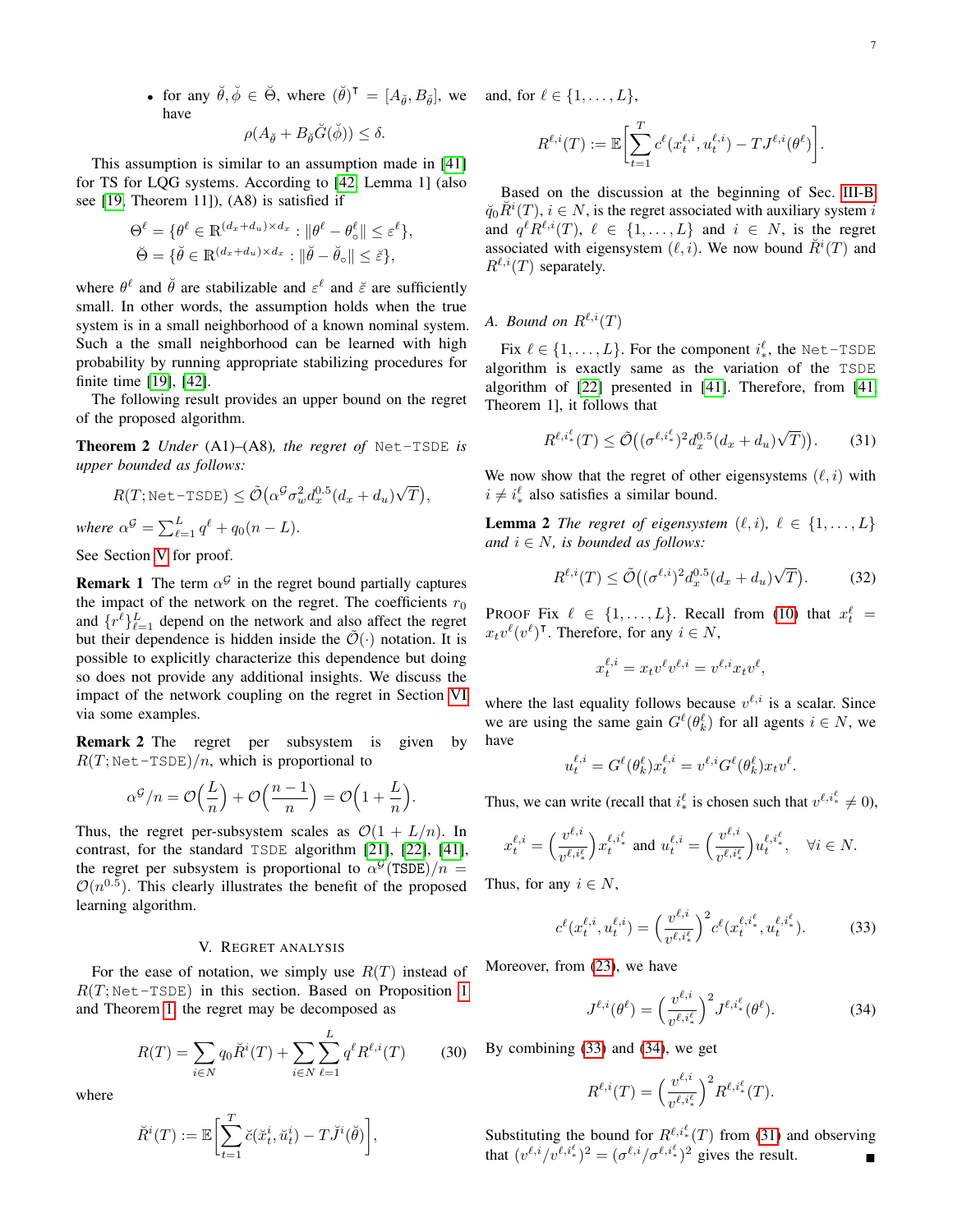• for any  $\check{\theta}, \check{\phi} \in \check{\Theta}$ , where  $(\check{\theta})^{\mathsf{T}} = [A_{\check{\theta}}, B_{\check{\theta}}]$ , we and, for  $\ell \in \{1, ..., L\}$ , have

$$
\rho(A_{\breve{\theta}} + B_{\breve{\theta}}\breve{G}(\breve{\phi})) \le \delta.
$$

This assumption is similar to an assumption made in [\[41\]](#page-9-28) for TS for LQG systems. According to [\[42,](#page-9-29) Lemma 1] (also see [\[19,](#page-9-6) Theorem 11]), (A8) is satisfied if

$$
\Theta^{\ell} = \{ \theta^{\ell} \in \mathbb{R}^{(d_x + d_u) \times d_x} : ||\theta^{\ell} - \theta^{\ell}_0|| \le \varepsilon^{\ell} \},
$$
  

$$
\check{\Theta} = \{ \check{\theta} \in \mathbb{R}^{(d_x + d_u) \times d_x} : ||\check{\theta} - \check{\theta}_0|| \le \check{\varepsilon} \},
$$

where  $\theta^{\ell}$  and  $\check{\theta}$  are stabilizable and  $\varepsilon^{\ell}$  and  $\check{\varepsilon}$  are sufficiently small. In other words, the assumption holds when the true system is in a small neighborhood of a known nominal system. Such a the small neighborhood can be learned with high probability by running appropriate stabilizing procedures for finite time [\[19\]](#page-9-6), [\[42\]](#page-9-29).

<span id="page-6-4"></span>The following result provides an upper bound on the regret of the proposed algorithm.

Theorem 2 *Under* (A1)–(A8)*, the regret of* Net-TSDE *is upper bounded as follows:*

$$
R(T; \text{Net-TSDE}) \le \tilde{\mathcal{O}}(\alpha^{\mathcal{G}} \sigma_w^2 d_x^{0.5} (d_x + d_u)\sqrt{T}),
$$
  
where  $\alpha^{\mathcal{G}} = \sum_{\ell=1}^L q^{\ell} + q_0(n-L).$ 

See Section [V](#page-6-0) for proof.

**Remark 1** The term  $\alpha^{\mathcal{G}}$  in the regret bound partially captures the impact of the network on the regret. The coefficients  $r_0$ and  $\{r^{\ell}\}_{\ell=1}^{L}$  depend on the network and also affect the regret but their dependence is hidden inside the  $\mathcal{O}(\cdot)$  notation. It is possible to explicitly characterize this dependence but doing so does not provide any additional insights. We discuss the impact of the network coupling on the regret in Section [VI](#page-7-1) via some examples.

Remark 2 The regret per subsystem is given by  $R(T; \text{Net-TSDE})/n$ , which is proportional to

$$
\alpha^{\mathcal{G}}/n = \mathcal{O}\Big(\frac{L}{n}\Big) + \mathcal{O}\Big(\frac{n-1}{n}\Big) = \mathcal{O}\Big(1 + \frac{L}{n}\Big).
$$

Thus, the regret per-subsystem scales as  $\mathcal{O}(1 + L/n)$ . In contrast, for the standard TSDE algorithm [\[21\]](#page-9-25), [\[22\]](#page-9-26), [\[41\]](#page-9-28), the regret per subsystem is proportional to  $\alpha^{\mathcal{G}}(\text{TSDE})/n =$  $\mathcal{O}(n^{0.5})$ . This clearly illustrates the benefit of the proposed learning algorithm.

## V. REGRET ANALYSIS

<span id="page-6-0"></span>For the ease of notation, we simply use  $R(T)$  instead of  $R(T; \text{Net}-\text{TSDE})$  in this section. Based on Proposition [1](#page-3-1) and Theorem [1,](#page-3-7) the regret may be decomposed as

<span id="page-6-6"></span>
$$
R(T) = \sum_{i \in N} q_0 \breve{R}^i(T) + \sum_{i \in N} \sum_{\ell=1}^L q^{\ell} R^{\ell, i}(T) \tag{30}
$$

where

$$
\check{R}^i(T):=\mathbb{E}\biggl[\sum_{t=1}^T\check{c}(\check{x}^i_t,\check{u}^i_t)-T\check{J}^i(\check{\theta})\biggr],
$$

$$
R^{\ell,i}(T):=\mathbb{E}\biggl[\sum_{t=1}^T c^\ell(x_t^{\ell,i},u_t^{\ell,i})-T J^{\ell,i}(\theta^\ell)\biggr].
$$

Based on the discussion at the beginning of Sec. [III-B,](#page-3-8)  $\breve{q}_0 \breve{R}^i(T)$ ,  $i \in N$ , is the regret associated with auxiliary system i and  $q^{\ell}R^{\ell,i}(T), \ell \in \{1,\ldots,L\}$  and  $i \in N$ , is the regret associated with eigensystem  $(\ell, i)$ . We now bound  $\check{R}^i(T)$  and  $R^{\ell,i}(T)$  separately.

# *A. Bound on*  $R^{\ell,i}(T)$

Fix  $\ell \in \{1, \ldots, L\}$ . For the component  $i^{\ell}_*$ , the Net-TSDE algorithm is exactly same as the variation of the TSDE algorithm of [\[22\]](#page-9-26) presented in [\[41\]](#page-9-28). Therefore, from [\[41,](#page-9-28) Theorem 1], it follows that

<span id="page-6-3"></span>
$$
R^{\ell,i_*^\ell}(T) \le \tilde{\mathcal{O}}\big( (\sigma^{\ell,i_*^\ell})^2 d_x^{0.5} (d_x + d_u)\sqrt{T} ) \big). \tag{31}
$$

We now show that the regret of other eigensystems  $(\ell, i)$  with  $i \neq i$ <sup> $\ell$ </sup> also satisfies a similar bound.

<span id="page-6-5"></span>**Lemma 2** *The regret of eigensystem*  $(\ell, i)$ ,  $\ell \in \{1, \ldots, L\}$ *and*  $i \in N$ *, is bounded as follows:* 

$$
R^{\ell,i}(T) \le \tilde{\mathcal{O}}\big((\sigma^{\ell,i})^2 d_x^{0.5} (d_x + d_u)\sqrt{T}\big). \tag{32}
$$

PROOF Fix  $\ell \in \{1, ..., L\}$ . Recall from [\(10\)](#page-2-4) that  $x_t^{\ell} =$  $x_t v^{\ell} (v^{\ell})^{\mathsf{T}}$ . Therefore, for any  $i \in N$ ,

$$
x_t^{\ell,i} = x_t v^\ell v^{\ell,i} = v^{\ell,i} x_t v^\ell,
$$

where the last equality follows because  $v^{\ell,i}$  is a scalar. Since we are using the same gain  $G^{\ell}(\theta_k^{\ell})$  for all agents  $i \in N$ , we have

$$
u_t^{\ell,i} = G^{\ell}(\theta_k^{\ell}) x_t^{\ell,i} = v^{\ell,i} G^{\ell}(\theta_k^{\ell}) x_t v^{\ell}.
$$

Thus, we can write (recall that  $i^{\ell}_{*}$  is chosen such that  $v^{\ell, i^{\ell}_{*}} \neq 0$ ),

$$
x_t^{\ell,i} = \left(\frac{v^{\ell,i}}{v^{\ell,i_\ast^\ell}}\right) x_t^{\ell,i_\ast^\ell} \text{ and } u_t^{\ell,i} = \left(\frac{v^{\ell,i}}{v^{\ell,i_\ast^\ell}}\right) u_t^{\ell,i_\ast^\ell}, \quad \forall i \in N.
$$

Thus, for any  $i \in N$ ,

<span id="page-6-1"></span>
$$
c^{\ell}(x_t^{\ell,i}, u_t^{\ell,i}) = \left(\frac{v^{\ell,i}}{v^{\ell,i_*^{\ell}}}\right)^2 c^{\ell}(x_t^{\ell,i_*^{\ell}}, u_t^{\ell,i_*^{\ell}}). \tag{33}
$$

Moreover, from [\(23\)](#page-4-5), we have

<span id="page-6-2"></span>
$$
J^{\ell,i}(\theta^{\ell}) = \left(\frac{v^{\ell,i}}{v^{\ell,i_*^{\ell}}}\right)^2 J^{\ell,i_*^{\ell}}(\theta^{\ell}).\tag{34}
$$

By combining [\(33\)](#page-6-1) and [\(34\)](#page-6-2), we get

$$
R^{\ell,i}(T) = \left(\frac{v^{\ell,i}}{v^{\ell,i_*^{\ell}}}\right)^2 R^{\ell,i_*^{\ell}}(T).
$$

Substituting the bound for  $R^{\ell,i^{\ell}_{*}}(T)$  from [\(31\)](#page-6-3) and observing that  $(v^{\ell,i}/v^{\ell,i^{\ell}_{*}})^2 = (\sigma^{\ell,i}/\sigma^{\ell,i^{\ell}_{*}})^2$  gives the result.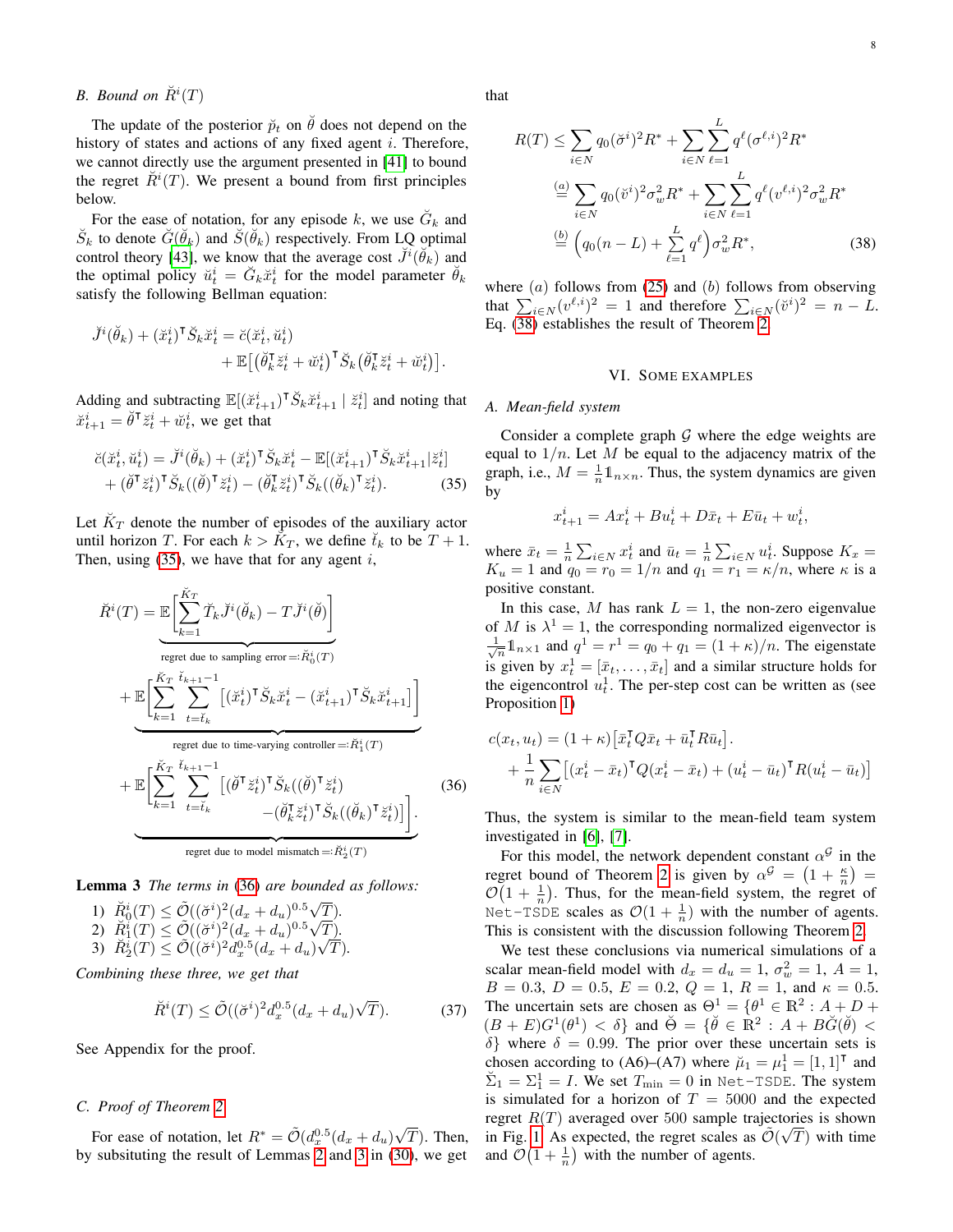# *B.* Bound on  $\check{R}^i(T)$

The update of the posterior  $\tilde{p}_t$  on  $\tilde{\theta}$  does not depend on the history of states and actions of any fixed agent  $i$ . Therefore, we cannot directly use the argument presented in [\[41\]](#page-9-28) to bound the regret  $\check{R}$ <sup>i</sup>(T). We present a bound from first principles below.

For the ease of notation, for any episode k, we use  $\check{G}_k$  and  $\breve{S}_k$  to denote  $\breve{G}(\breve{\theta}_k)$  and  $\breve{S}(\breve{\theta}_k)$  respectively. From LQ optimal control theory [\[43\]](#page-9-30), we know that the average cost  $\check{J}^i(\check{\theta}_k)$  and the optimal policy  $\breve{u}_t^i = \breve{G}_k \breve{x}_t^i$  for the model parameter  $\breve{\theta}_k$ satisfy the following Bellman equation:

$$
\begin{split} \breve{J}^i(\breve{\theta}_k) + (\breve{x}_t^i)^\mathsf{T} \breve{S}_k \breve{x}_t^i &= \breve{c}(\breve{x}_t^i, \breve{u}_t^i) \\ &+ \mathbb{E}\big[\big(\breve{\theta}_k^\mathsf{T} \breve{z}_t^i + \breve{w}_t^i\big)^\mathsf{T} \breve{S}_k \big(\breve{\theta}_k^\mathsf{T} \breve{z}_t^i + \breve{w}_t^i\big)\big]. \end{split}
$$

Adding and subtracting  $\mathbb{E}[(\breve{x}_{t+1}^i)^\mathsf{T} \breve{S}_k \breve{x}_{t+1}^i \mid \breve{z}_t^i]$  and noting that  $\breve{x}_{t+1}^i = \breve{\theta}^\intercal \breve{z}_t^i + \breve{w}_t^i$ , we get that

$$
\breve{c}(\breve{x}_t^i, \breve{u}_t^i) = \breve{J}^i(\breve{\theta}_k) + (\breve{x}_t^i)^\mathsf{T} \breve{S}_k \breve{x}_t^i - \mathbb{E}[(\breve{x}_{t+1}^i)^\mathsf{T} \breve{S}_k \breve{x}_{t+1}^i | \breve{z}_t^i] + (\breve{\theta}^\mathsf{T} \breve{z}_t^i)^\mathsf{T} \breve{S}_k((\breve{\theta})^\mathsf{T} \breve{z}_t^i) - (\breve{\theta}_k^\mathsf{T} \breve{z}_t^i)^\mathsf{T} \breve{S}_k((\breve{\theta}_k)^\mathsf{T} \breve{z}_t^i).
$$
(35)

Let  $\breve{K}_T$  denote the number of episodes of the auxiliary actor until horizon T. For each  $k > \check{K}_T$ , we define  $\check{t}_k$  to be  $T + 1$ . Then, using  $(35)$ , we have that for any agent i,

$$
\check{R}^{i}(T) = \mathbb{E}\left[\sum_{k=1}^{\check{K}_{T}}\check{T}_{k}\check{J}^{i}(\check{\theta}_{k}) - T\check{J}^{i}(\check{\theta})\right]
$$
\nregret due to sampling error =:  $\check{R}_{0}^{i}(T)$ \n
$$
+ \underbrace{\mathbb{E}\left[\sum_{k=1}^{\check{K}_{T}}\sum_{t=\check{t}_{k}}^{\check{t}_{k+1}-1}[(\check{x}_{t}^{i})^{\mathsf{T}}\check{S}_{k}\check{x}_{t}^{i} - (\check{x}_{t+1}^{i})^{\mathsf{T}}\check{S}_{k}\check{x}_{t+1}^{i}] \right]}_{\text{regret due to time-varying controller} =: \check{R}_{1}^{i}(T)}
$$
\n
$$
+ \mathbb{E}\left[\sum_{k=1}^{\check{K}_{T}}\sum_{k=1}^{\check{t}_{k+1}-1}[(\check{\theta}^{\mathsf{T}}\check{z}_{k}^{i})^{\mathsf{T}}\check{S}_{k}((\check{\theta})^{\mathsf{T}}\check{z}_{t}^{i}) - (36)\right]
$$

$$
\underbrace{\begin{bmatrix} \mathsf{L}_{k=1} & t = \check{t}_k & -(\check{\theta}_k^\mathsf{T} \check{z}_t^i)^\mathsf{T} \check{S}_k((\check{\theta}_k)^\mathsf{T} \check{z}_t^i) \end{bmatrix}}_{\text{regret due to model mismatch} = : \check{R}_2^i(T)}
$$

<span id="page-7-3"></span>1 .

<span id="page-7-4"></span>**Lemma 3** The terms in (36) are bounded as follows:  
\n1) 
$$
\tilde{R}_0^i(T) \leq \tilde{\mathcal{O}}((\check{\sigma}^i)^2(d_x + d_u)^{0.5}\sqrt{T}).
$$
  
\n2)  $\tilde{R}_1^i(T) \leq \tilde{\mathcal{O}}((\check{\sigma}^i)^2(d_x + d_u)^{0.5}\sqrt{T}).$   
\n3)  $\tilde{R}_2^i(T) \leq \tilde{\mathcal{O}}((\check{\sigma}^i)^2d_x^{0.5}(d_x + d_u)\sqrt{T}).$ 

*Combining these three, we get that*

$$
\check{R}^{i}(T) \leq \tilde{\mathcal{O}}((\check{\sigma}^{i})^{2} d_{x}^{0.5}(d_{x} + d_{u})\sqrt{T}). \tag{37}
$$

See Appendix for the proof.

# *C. Proof of Theorem [2](#page-6-4)*

For ease of notation, let  $R^* = \tilde{\mathcal{O}}(d_x^{0.5}(d_x + d_u))$ √  $T$ ). Then, by subsituting the result of Lemmas [2](#page-6-5) and [3](#page-7-4) in [\(30\)](#page-6-6), we get

that

$$
R(T) \leq \sum_{i \in N} q_0(\breve{\sigma}^i)^2 R^* + \sum_{i \in N} \sum_{\ell=1}^L q^{\ell} (\sigma^{\ell, i})^2 R^*
$$
  
\n
$$
\stackrel{(a)}{=} \sum_{i \in N} q_0(\breve{v}^i)^2 \sigma_w^2 R^* + \sum_{i \in N} \sum_{\ell=1}^L q^{\ell} (v^{\ell, i})^2 \sigma_w^2 R^*
$$
  
\n
$$
\stackrel{(b)}{=} \left( q_0(n - L) + \sum_{\ell=1}^L q^{\ell} \right) \sigma_w^2 R^*,
$$
\n(38)

where  $(a)$  follows from [\(25\)](#page-4-6) and  $(b)$  follows from observing that  $\sum_{i \in N} (v^{\ell,i})^2 = 1$  and therefore  $\sum_{i \in N} (\breve{v}^i)^2 = n - L$ . Eq. [\(38\)](#page-7-5) establishes the result of Theorem [2.](#page-6-4)

#### <span id="page-7-5"></span>VI. SOME EXAMPLES

# <span id="page-7-1"></span><span id="page-7-0"></span>*A. Mean-field system*

<span id="page-7-2"></span>Consider a complete graph  $G$  where the edge weights are equal to  $1/n$ . Let M be equal to the adjacency matrix of the graph, i.e.,  $M = \frac{1}{n} \mathbb{1}_{n \times n}$ . Thus, the system dynamics are given by

$$
x_{t+1}^i = Ax_t^i + Bu_t^i + D\bar{x}_t + E\bar{u}_t + w_t^i,
$$

where  $\bar{x}_t = \frac{1}{n} \sum_{i \in N} x_t^i$  and  $\bar{u}_t = \frac{1}{n} \sum_{i \in N} u_t^i$ . Suppose  $K_x =$  $K_u = 1$  and  $q_0 = r_0 = 1/n$  and  $q_1 = r_1 = \kappa/n$ , where  $\kappa$  is a positive constant.

In this case, M has rank  $L = 1$ , the non-zero eigenvalue of M is  $\lambda^1 = 1$ , the corresponding normalized eigenvector is  $\frac{1}{\sqrt{n}}\mathbb{1}_{n\times 1}$  and  $q^1 = r^1 = q_0 + q_1 = (1 + \kappa)/n$ . The eigenstate is given by  $x_t^1 = [\bar{x}_t, \dots, \bar{x}_t]$  and a similar structure holds for the eigencontrol  $u_t^1$ . The per-step cost can be written as (see Proposition [1\)](#page-3-1)

$$
c(x_t, u_t) = (1 + \kappa) \left[ \bar{x}_t^{\mathsf{T}} Q \bar{x}_t + \bar{u}_t^{\mathsf{T}} R \bar{u}_t \right].
$$
  
+ 
$$
\frac{1}{n} \sum_{i \in N} \left[ (x_t^i - \bar{x}_t)^{\mathsf{T}} Q (x_t^i - \bar{x}_t) + (u_t^i - \bar{u}_t)^{\mathsf{T}} R (u_t^i - \bar{u}_t) \right]
$$

Thus, the system is similar to the mean-field team system investigated in [\[6\]](#page-8-3), [\[7\]](#page-9-0).

For this model, the network dependent constant  $\alpha^{\mathcal{G}}$  in the regret bound of Theorem [2](#page-6-4) is given by  $\alpha^{\mathcal{G}} = (1 + \frac{\kappa}{n}) =$  $\mathcal{O}(1+\frac{1}{n})$ . Thus, for the mean-field system, the regret of Net-TSDE scales as  $\mathcal{O}(1+\frac{1}{n})$  with the number of agents. This is consistent with the discussion following Theorem [2.](#page-6-4)

We test these conclusions via numerical simulations of a scalar mean-field model with  $d_x = d_u = 1$ ,  $\sigma_w^2 = 1$ ,  $A = 1$ ,  $B = 0.3, D = 0.5, E = 0.2, Q = 1, R = 1, \text{ and } \kappa = 0.5.$ The uncertain sets are chosen as  $\Theta^1 = \{ \theta^1 \in \mathbb{R}^2 : A + D + \theta \}$  $(B + E)G^1(\theta^1) < \delta$  and  $\breve{\Theta} = {\{\breve{\theta} \in \mathbb{R}^2 : A + B\breve{G}(\breve{\theta}) \leq \delta\}}$  $\delta$ } where  $\delta = 0.99$ . The prior over these uncertain sets is chosen according to (A6)–(A7) where  $\mu_1 = \mu_1^1 = [1, 1]^T$  and  $\Sigma_1 = \Sigma_1^1 = I$ . We set  $T_{\min} = 0$  in Net-TSDE. The system is simulated for a horizon of  $T = 5000$  and the expected regret  $R(T)$  averaged over 500 sample trajectories is shown in Fig. [1.](#page-8-4) As expected, the regret scales as  $\tilde{\mathcal{O}}(\sqrt{T})$  with time and  $\mathcal{O}(1+\frac{1}{n})$  with the number of agents.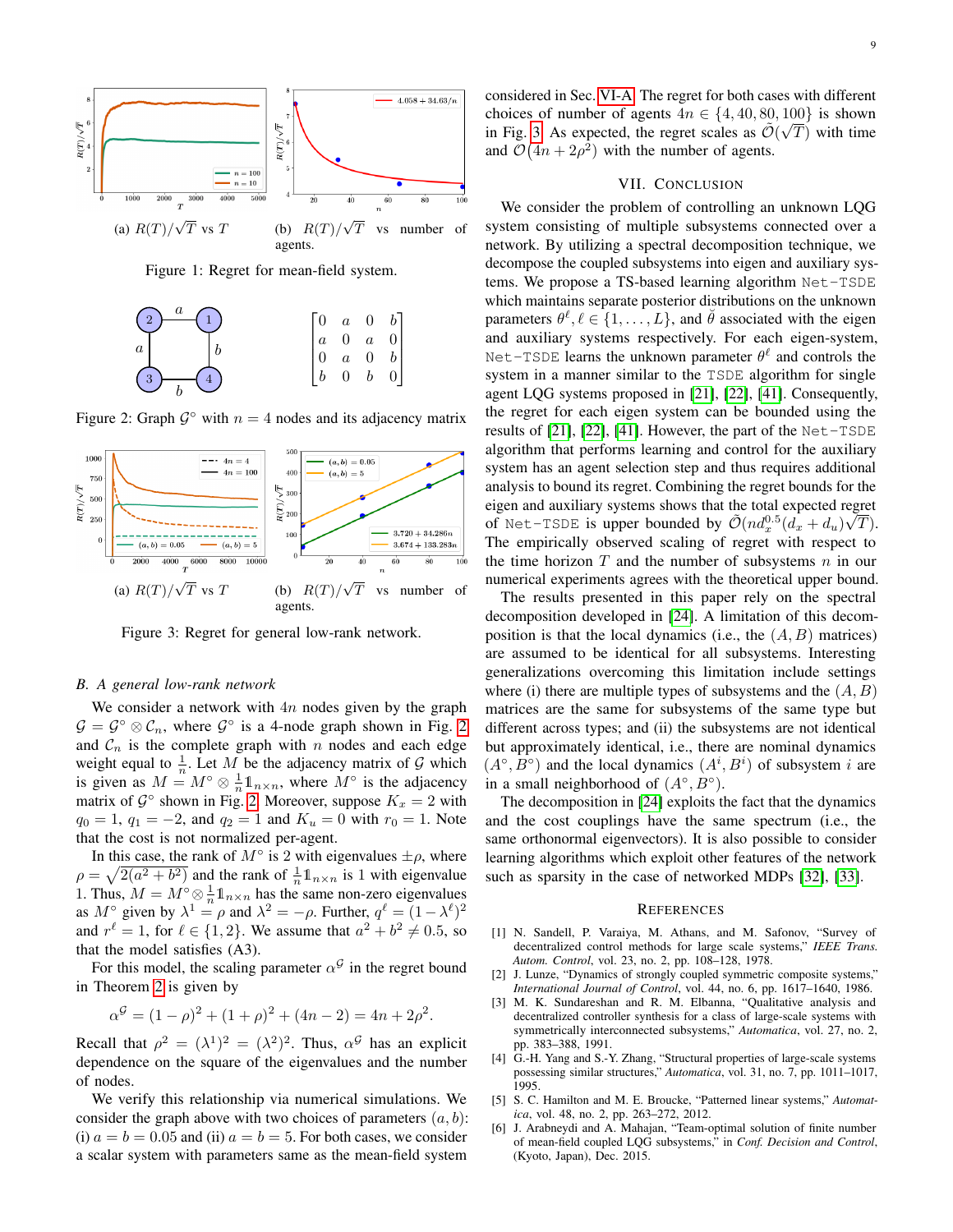<span id="page-8-4"></span>

Figure 1: Regret for mean-field system.

<span id="page-8-5"></span>

Figure 2: Graph  $\mathcal{G}^{\circ}$  with  $n = 4$  nodes and its adjacency matrix

<span id="page-8-6"></span>

Figure 3: Regret for general low-rank network.

#### *B. A general low-rank network*

We consider a network with  $4n$  nodes given by the graph  $\mathcal{G} = \mathcal{G}^{\circ} \otimes \mathcal{C}_n$ , where  $\mathcal{G}^{\circ}$  is a 4-node graph shown in Fig. [2](#page-8-5) and  $C_n$  is the complete graph with n nodes and each edge weight equal to  $\frac{1}{n}$ . Let M be the adjacency matrix of G which is given as  $M = M^{\circ} \otimes \frac{1}{n} \mathbb{1}_{n \times n}$ , where  $M^{\circ}$  is the adjacency matrix of  $\mathcal{G}^{\circ}$  shown in Fig. [2.](#page-8-5) Moreover, suppose  $K_x = 2$  with  $q_0 = 1$ ,  $q_1 = -2$ , and  $q_2 = 1$  and  $K_u = 0$  with  $r_0 = 1$ . Note that the cost is not normalized per-agent.

In this case, the rank of  $M^{\circ}$  is 2 with eigenvalues  $\pm \rho$ , where  $\rho = \sqrt{2(a^2 + b^2)}$  and the rank of  $\frac{1}{n} \mathbb{1}_{n \times n}$  is 1 with eigenvalue 1. Thus,  $M = M^{\circ} \otimes \frac{1}{n} \mathbb{1}_{n \times n}$  has the same non-zero eigenvalues as  $M^{\circ}$  given by  $\lambda^{1} = \rho$  and  $\lambda^{2} = -\rho$ . Further,  $q^{\ell} = (1 - \lambda^{\ell})^2$ and  $r^{\ell} = 1$ , for  $\ell \in \{1, 2\}$ . We assume that  $a^2 + b^2 \neq 0.5$ , so that the model satisfies (A3).

For this model, the scaling parameter  $\alpha^{\mathcal{G}}$  in the regret bound in Theorem [2](#page-6-4) is given by

$$
\alpha^{G} = (1 - \rho)^{2} + (1 + \rho)^{2} + (4n - 2) = 4n + 2\rho^{2}.
$$

Recall that  $\rho^2 = (\lambda^1)^2 = (\lambda^2)^2$ . Thus,  $\alpha^{\mathcal{G}}$  has an explicit dependence on the square of the eigenvalues and the number of nodes.

We verify this relationship via numerical simulations. We consider the graph above with two choices of parameters  $(a, b)$ : (i)  $a = b = 0.05$  and (ii)  $a = b = 5$ . For both cases, we consider a scalar system with parameters same as the mean-field system

considered in Sec. [VI-A.](#page-7-0) The regret for both cases with different choices of number of agents  $4n \in \{4, 40, 80, 100\}$  is shown in Fig. [3.](#page-8-6) As expected, the regret scales as  $\tilde{\mathcal{O}}(\sqrt{T})$  with time and  $\mathcal{O}(4n + 2\rho^2)$  with the number of agents.

# VII. CONCLUSION

<span id="page-8-2"></span>We consider the problem of controlling an unknown LQG system consisting of multiple subsystems connected over a network. By utilizing a spectral decomposition technique, we decompose the coupled subsystems into eigen and auxiliary systems. We propose a TS-based learning algorithm Net-TSDE which maintains separate posterior distributions on the unknown parameters  $\theta^{\ell}, \ell \in \{1, ..., L\}$ , and  $\breve{\theta}$  associated with the eigen and auxiliary systems respectively. For each eigen-system, Net-TSDE learns the unknown parameter  $\theta^{\ell}$  and controls the system in a manner similar to the TSDE algorithm for single agent LQG systems proposed in [\[21\]](#page-9-25), [\[22\]](#page-9-26), [\[41\]](#page-9-28). Consequently, the regret for each eigen system can be bounded using the results of [\[21\]](#page-9-25), [\[22\]](#page-9-26), [\[41\]](#page-9-28). However, the part of the Net-TSDE algorithm that performs learning and control for the auxiliary system has an agent selection step and thus requires additional analysis to bound its regret. Combining the regret bounds for the eigen and auxiliary systems shows that the total expected regret of Net-TSDE is upper bounded by  $\tilde{\mathcal{O}}(nd_x^{0.5}(\tilde{d}_x + d_u)\sqrt{T})$ . The empirically observed scaling of regret with respect to the time horizon  $T$  and the number of subsystems  $n$  in our numerical experiments agrees with the theoretical upper bound.

The results presented in this paper rely on the spectral decomposition developed in [\[24\]](#page-9-7). A limitation of this decomposition is that the local dynamics (i.e., the  $(A, B)$  matrices) are assumed to be identical for all subsystems. Interesting generalizations overcoming this limitation include settings where (i) there are multiple types of subsystems and the  $(A, B)$ matrices are the same for subsystems of the same type but different across types; and (ii) the subsystems are not identical but approximately identical, i.e., there are nominal dynamics  $(A^{\circ}, B^{\circ})$  and the local dynamics  $(A^{i}, B^{i})$  of subsystem i are in a small neighborhood of  $(A^{\circ}, B^{\circ})$ .

The decomposition in [\[24\]](#page-9-7) exploits the fact that the dynamics and the cost couplings have the same spectrum (i.e., the same orthonormal eigenvectors). It is also possible to consider learning algorithms which exploit other features of the network such as sparsity in the case of networked MDPs [\[32\]](#page-9-19), [\[33\]](#page-9-18).

#### **REFERENCES**

- <span id="page-8-0"></span>[1] N. Sandell, P. Varaiya, M. Athans, and M. Safonov, "Survey of decentralized control methods for large scale systems," *IEEE Trans. Autom. Control*, vol. 23, no. 2, pp. 108–128, 1978.
- <span id="page-8-1"></span>[2] J. Lunze, "Dynamics of strongly coupled symmetric composite systems," *International Journal of Control*, vol. 44, no. 6, pp. 1617–1640, 1986.
- [3] M. K. Sundareshan and R. M. Elbanna, "Qualitative analysis and decentralized controller synthesis for a class of large-scale systems with symmetrically interconnected subsystems," *Automatica*, vol. 27, no. 2, pp. 383–388, 1991.
- [4] G.-H. Yang and S.-Y. Zhang, "Structural properties of large-scale systems possessing similar structures," *Automatica*, vol. 31, no. 7, pp. 1011–1017, 1995.
- [5] S. C. Hamilton and M. E. Broucke, "Patterned linear systems," *Automatica*, vol. 48, no. 2, pp. 263–272, 2012.
- <span id="page-8-3"></span>[6] J. Arabneydi and A. Mahajan, "Team-optimal solution of finite number of mean-field coupled LQG subsystems," in *Conf. Decision and Control*, (Kyoto, Japan), Dec. 2015.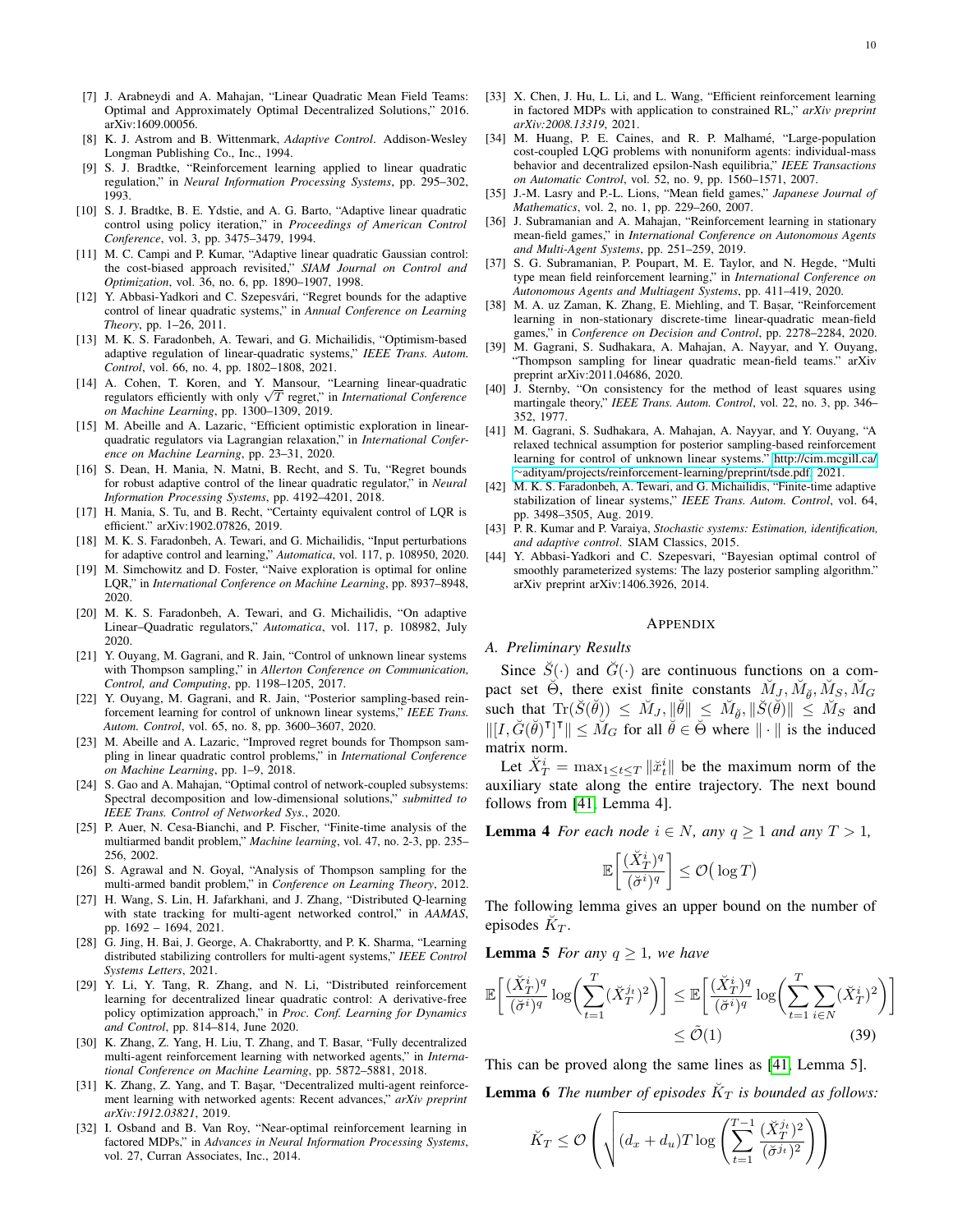- <span id="page-9-0"></span>[7] J. Arabneydi and A. Mahajan, "Linear Quadratic Mean Field Teams: Optimal and Approximately Optimal Decentralized Solutions," 2016. arXiv:1609.00056.
- <span id="page-9-1"></span>[8] K. J. Astrom and B. Wittenmark, *Adaptive Control*. Addison-Wesley Longman Publishing Co., Inc., 1994.
- <span id="page-9-2"></span>[9] S. J. Bradtke, "Reinforcement learning applied to linear quadratic regulation," in *Neural Information Processing Systems*, pp. 295–302, 1993.
- <span id="page-9-3"></span>[10] S. J. Bradtke, B. E. Ydstie, and A. G. Barto, "Adaptive linear quadratic control using policy iteration," in *Proceedings of American Control Conference*, vol. 3, pp. 3475–3479, 1994.
- <span id="page-9-4"></span>[11] M. C. Campi and P. Kumar, "Adaptive linear quadratic Gaussian control: the cost-biased approach revisited," *SIAM Journal on Control and Optimization*, vol. 36, no. 6, pp. 1890–1907, 1998.
- <span id="page-9-11"></span>[12] Y. Abbasi-Yadkori and C. Szepesvári, "Regret bounds for the adaptive control of linear quadratic systems," in *Annual Conference on Learning Theory*, pp. 1–26, 2011.
- <span id="page-9-12"></span>[13] M. K. S. Faradonbeh, A. Tewari, and G. Michailidis, "Optimism-based adaptive regulation of linear-quadratic systems," *IEEE Trans. Autom. Control*, vol. 66, no. 4, pp. 1802–1808, 2021.
- [14] A. Cohen, T. Koren, and Y. Mansour, "Learning linear-quadratic A. Cohen, T. Koren, and Y. Mansour, "Learning linear-quadratic regulators efficiently with only  $\sqrt{T}$  regret," in *International Conference on Machine Learning*, pp. 1300–1309, 2019.
- <span id="page-9-13"></span>[15] M. Abeille and A. Lazaric, "Efficient optimistic exploration in linearquadratic regulators via Lagrangian relaxation," in *International Conference on Machine Learning*, pp. 23–31, 2020.
- <span id="page-9-8"></span>[16] S. Dean, H. Mania, N. Matni, B. Recht, and S. Tu, "Regret bounds for robust adaptive control of the linear quadratic regulator," in *Neural Information Processing Systems*, pp. 4192–4201, 2018.
- [17] H. Mania, S. Tu, and B. Recht, "Certainty equivalent control of LQR is efficient." arXiv:1902.07826, 2019.
- [18] M. K. S. Faradonbeh, A. Tewari, and G. Michailidis, "Input perturbations for adaptive control and learning," *Automatica*, vol. 117, p. 108950, 2020.
- <span id="page-9-6"></span>[19] M. Simchowitz and D. Foster, "Naive exploration is optimal for online LQR," in *International Conference on Machine Learning*, pp. 8937–8948, 2020.
- <span id="page-9-9"></span>[20] M. K. S. Faradonbeh, A. Tewari, and G. Michailidis, "On adaptive Linear–Quadratic regulators," *Automatica*, vol. 117, p. 108982, July 2020.
- <span id="page-9-25"></span>[21] Y. Ouyang, M. Gagrani, and R. Jain, "Control of unknown linear systems with Thompson sampling," in *Allerton Conference on Communication, Control, and Computing*, pp. 1198–1205, 2017.
- <span id="page-9-26"></span>[22] Y. Ouyang, M. Gagrani, and R. Jain, "Posterior sampling-based reinforcement learning for control of unknown linear systems," *IEEE Trans. Autom. Control*, vol. 65, no. 8, pp. 3600–3607, 2020.
- <span id="page-9-5"></span>[23] M. Abeille and A. Lazaric, "Improved regret bounds for Thompson sampling in linear quadratic control problems," in *International Conference on Machine Learning*, pp. 1–9, 2018.
- <span id="page-9-7"></span>[24] S. Gao and A. Mahajan, "Optimal control of network-coupled subsystems: Spectral decomposition and low-dimensional solutions," *submitted to IEEE Trans. Control of Networked Sys.*, 2020.
- <span id="page-9-10"></span>[25] P. Auer, N. Cesa-Bianchi, and P. Fischer, "Finite-time analysis of the multiarmed bandit problem," *Machine learning*, vol. 47, no. 2-3, pp. 235– 256, 2002.
- <span id="page-9-14"></span>[26] S. Agrawal and N. Goyal, "Analysis of Thompson sampling for the multi-armed bandit problem," in *Conference on Learning Theory*, 2012.
- <span id="page-9-15"></span>[27] H. Wang, S. Lin, H. Jafarkhani, and J. Zhang, "Distributed Q-learning with state tracking for multi-agent networked control," in *AAMAS*, pp. 1692 – 1694, 2021.
- [28] G. Jing, H. Bai, J. George, A. Chakrabortty, and P. K. Sharma, "Learning distributed stabilizing controllers for multi-agent systems," *IEEE Control Systems Letters*, 2021.
- <span id="page-9-16"></span>[29] Y. Li, Y. Tang, R. Zhang, and N. Li, "Distributed reinforcement learning for decentralized linear quadratic control: A derivative-free policy optimization approach," in *Proc. Conf. Learning for Dynamics and Control*, pp. 814–814, June 2020.
- <span id="page-9-17"></span>[30] K. Zhang, Z. Yang, H. Liu, T. Zhang, and T. Basar, "Fully decentralized multi-agent reinforcement learning with networked agents," in *International Conference on Machine Learning*, pp. 5872–5881, 2018.
- [31] K. Zhang, Z. Yang, and T. Başar, "Decentralized multi-agent reinforcement learning with networked agents: Recent advances," *arXiv preprint arXiv:1912.03821*, 2019.
- <span id="page-9-19"></span>[32] I. Osband and B. Van Roy, "Near-optimal reinforcement learning in factored MDPs," in *Advances in Neural Information Processing Systems*, vol. 27, Curran Associates, Inc., 2014.
- <span id="page-9-18"></span>[33] X. Chen, J. Hu, L. Li, and L. Wang, "Efficient reinforcement learning in factored MDPs with application to constrained RL," *arXiv preprint arXiv:2008.13319*, 2021.
- <span id="page-9-20"></span>[34] M. Huang, P. E. Caines, and R. P. Malhamé, "Large-population cost-coupled LQG problems with nonuniform agents: individual-mass behavior and decentralized epsilon-Nash equilibria," *IEEE Transactions on Automatic Control*, vol. 52, no. 9, pp. 1560–1571, 2007.
- <span id="page-9-21"></span>[35] J.-M. Lasry and P.-L. Lions, "Mean field games," *Japanese Journal of Mathematics*, vol. 2, no. 1, pp. 229–260, 2007.
- <span id="page-9-22"></span>[36] J. Subramanian and A. Mahajan, "Reinforcement learning in stationary mean-field games," in *International Conference on Autonomous Agents and Multi-Agent Systems*, pp. 251–259, 2019.
- [37] S. G. Subramanian, P. Poupart, M. E. Taylor, and N. Hegde, "Multi type mean field reinforcement learning," in *International Conference on Autonomous Agents and Multiagent Systems*, pp. 411–419, 2020.
- <span id="page-9-23"></span>[38] M. A. uz Zaman, K. Zhang, E. Miehling, and T. Basar, "Reinforcement learning in non-stationary discrete-time linear-quadratic mean-field games," in *Conference on Decision and Control*, pp. 2278–2284, 2020.
- <span id="page-9-24"></span>[39] M. Gagrani, S. Sudhakara, A. Mahajan, A. Nayyar, and Y. Ouyang, "Thompson sampling for linear quadratic mean-field teams." arXiv preprint arXiv:2011.04686, 2020.
- <span id="page-9-27"></span>[40] J. Sternby, "On consistency for the method of least squares using martingale theory," *IEEE Trans. Autom. Control*, vol. 22, no. 3, pp. 346– 352, 1977.
- <span id="page-9-28"></span>[41] M. Gagrani, S. Sudhakara, A. Mahajan, A. Nayyar, and Y. Ouyang, "A relaxed technical assumption for posterior sampling-based reinforcement learning for control of unknown linear systems." [http://cim.mcgill.ca/](http://cim.mcgill.ca/~adityam/projects/reinforcement-learning/preprint/tsde.pdf) ∼[adityam/projects/reinforcement-learning/preprint/tsde.pdf,](http://cim.mcgill.ca/~adityam/projects/reinforcement-learning/preprint/tsde.pdf) 2021.
- <span id="page-9-29"></span>[42] M. K. S. Faradonbeh, A. Tewari, and G. Michailidis, "Finite-time adaptive stabilization of linear systems," *IEEE Trans. Autom. Control*, vol. 64, pp. 3498–3505, Aug. 2019.
- <span id="page-9-30"></span>[43] P. R. Kumar and P. Varaiya, *Stochastic systems: Estimation, identification, and adaptive control*. SIAM Classics, 2015.
- <span id="page-9-33"></span>[44] Y. Abbasi-Yadkori and C. Szepesvari, "Bayesian optimal control of smoothly parameterized systems: The lazy posterior sampling algorithm." arXiv preprint arXiv:1406.3926, 2014.

### APPENDIX

#### *A. Preliminary Results*

Since  $\tilde{S}(\cdot)$  and  $\tilde{G}(\cdot)$  are continuous functions on a compact set  $\Theta$ , there exist finite constants  $\check{M}_J, \check{M}_\theta, \check{M}_S, \check{M}_G$ such that  $\text{Tr}(\check{S}(\check{\theta})) \leq \check{M}_J, ||\check{\theta}|| \leq \check{M}_{\check{\theta}}, ||\check{S}(\check{\theta})|| \leq \check{M}_S$  and  $\|[I, \check{G}(\check{\theta})^{\mathsf{T}}]^{\mathsf{T}}\| \leq \check{M}_G$  for all  $\check{\theta} \in \overline{\check{\Theta}}$  where  $\|\cdot\|$  is the induced matrix norm.

Let  $\check{X}_T^i = \max_{1 \leq t \leq T} ||\check{x}_t^i||$  be the maximum norm of the auxiliary state along the entire trajectory. The next bound follows from [\[41,](#page-9-28) Lemma 4].

**Lemma 4** *For each node*  $i \in N$ *, any*  $q \ge 1$  *and any*  $T > 1$ *,* 

<span id="page-9-32"></span>
$$
\mathbb{E}\bigg[\frac{(\breve{X}^i_T)^q}{(\breve{\sigma}^i)^q}\bigg] \leq \mathcal{O}\big(\log T\big)
$$

The following lemma gives an upper bound on the number of episodes  $\breve{K}_T$ .

<span id="page-9-34"></span>**Lemma 5** *For any*  $q \geq 1$ *, we have* 

$$
\mathbb{E}\left[\frac{(\breve{X}_{T}^{i})^{q}}{(\breve{\sigma}^{i})^{q}}\log\left(\sum_{t=1}^{T}(\breve{X}_{T}^{j_{t}})^{2}\right)\right] \leq \mathbb{E}\left[\frac{(\breve{X}_{T}^{i})^{q}}{(\breve{\sigma}^{i})^{q}}\log\left(\sum_{t=1}^{T}\sum_{i\in N}(\breve{X}_{T}^{i})^{2}\right)\right] \leq \tilde{\mathcal{O}}(1) \tag{39}
$$

This can be proved along the same lines as [\[41,](#page-9-28) Lemma 5].

<span id="page-9-31"></span>**Lemma 6** The number of episodes  $K_T$  is bounded as follows:

$$
\breve{K}_T \le \mathcal{O}\left(\sqrt{(d_x + d_u)T \log\left(\sum_{t=1}^{T-1} \frac{(\breve{X}_T^{j_t})^2}{(\breve{\sigma}^{j_t})^2}\right)}\right)
$$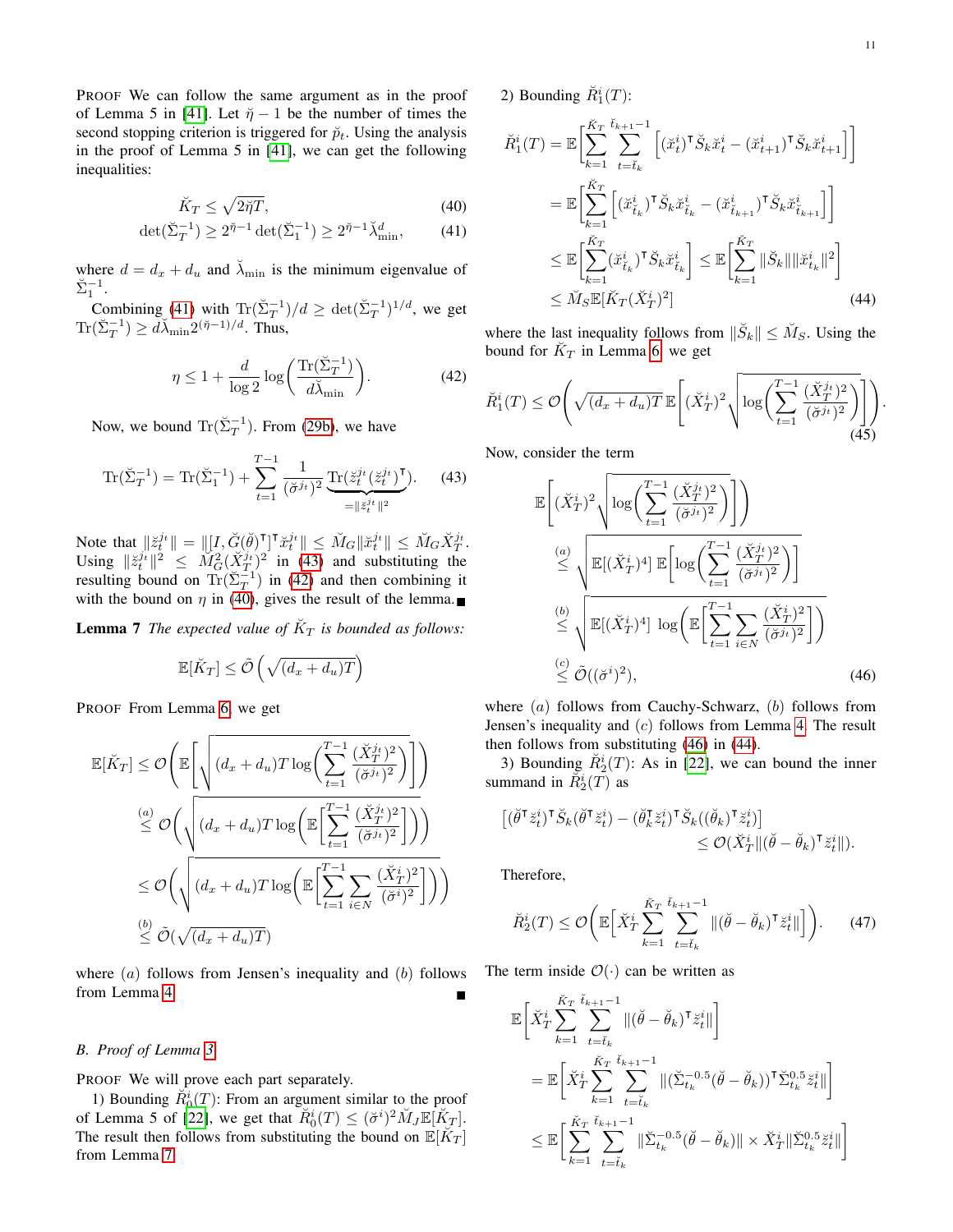PROOF We can follow the same argument as in the proof of Lemma 5 in [\[41\]](#page-9-28). Let  $\tilde{\eta} - 1$  be the number of times the second stopping criterion is triggered for  $\tilde{p}_t$ . Using the analysis in the proof of Lemma 5 in [\[41\]](#page-9-28), we can get the following inequalities:

$$
\breve{K}_T \le \sqrt{2\breve{\eta}T},\tag{40}
$$

$$
\det(\breve{\Sigma}_T^{-1}) \ge 2^{\breve{\eta}-1} \det(\breve{\Sigma}_1^{-1}) \ge 2^{\breve{\eta}-1} \breve{\lambda}_{\min}^d,\tag{41}
$$

where  $d = d_x + d_u$  and  $\lambda_{\min}$  is the minimum eigenvalue of  $\check{\Sigma}_1^{-1}$ .

Combining [\(41\)](#page-10-0) with  $\text{Tr}(\Sigma_T^{-1})/d \geq \det(\Sigma_T^{-1})^{1/d}$ , we get  $\text{Tr}(\check{\Sigma}_T^{-1}) \ge d\check{\lambda}_{\min} 2^{(\check{\eta}-1)/d}$ . Thus,

<span id="page-10-2"></span>
$$
\eta \le 1 + \frac{d}{\log 2} \log \left( \frac{\text{Tr}(\check{\Sigma}_T^{-1})}{d\check{\lambda}_{\text{min}}} \right). \tag{42}
$$

Now, we bound  $\text{Tr}(\check{\Sigma}_T^{-1})$ . From [\(29b\)](#page-4-7), we have

<span id="page-10-1"></span>
$$
\operatorname{Tr}(\check{\Sigma}_T^{-1}) = \operatorname{Tr}(\check{\Sigma}_1^{-1}) + \sum_{t=1}^{T-1} \frac{1}{(\check{\sigma}^{j_t})^2} \underbrace{\operatorname{Tr}(\check{z}_t^{j_t}(\check{z}_t^{j_t})^{\mathsf{T}})}_{= \|\check{z}_t^{j_t}\|^2}.
$$
 (43)

Note that  $||\breve{z}_t^{j_t}|| = ||[I, \breve{G}(\breve{\theta})^{\mathsf{T}}]^{\mathsf{T}} \breve{x}_t^{j_t}|| \leq \breve{M}_G ||\breve{x}_t^{j_t}|| \leq \breve{M}_G \breve{X}_T^{j_t}.$ Using  $\|\breve{z}_t^{j_t}\|^2 \leq \widetilde{M}_G^2(\breve{X}_T^{j_t})^2$  in [\(43\)](#page-10-1) and substituting the resulting bound on  $\text{Tr}(\check{\Sigma}_T^{-1})$  in [\(42\)](#page-10-2) and then combining it with the bound on  $\eta$  in [\(40\)](#page-10-3), gives the result of the lemma.

<span id="page-10-4"></span>**Lemma 7** The expected value of  $K_T$  is bounded as follows:

$$
\mathbb{E}[\breve{K}_T] \le \tilde{\mathcal{O}}\left(\sqrt{(d_x + d_u)T}\right)
$$

PROOF From Lemma [6,](#page-9-31) we get

$$
\mathbb{E}[\breve{K}_T] \leq \mathcal{O}\left(\mathbb{E}\left[\sqrt{(d_x + d_u)T\log\left(\sum_{t=1}^{T-1} \frac{(\breve{X}_T^{j_t})^2}{(\breve{\sigma}^{j_t})^2}\right)}\right]\right)
$$
  

$$
\leq \mathcal{O}\left(\sqrt{(d_x + d_u)T\log\left(\mathbb{E}\left[\sum_{t=1}^{T-1} \frac{(\breve{X}_T^{j_t})^2}{(\breve{\sigma}^{j_t})^2}\right] \right)}\right)
$$
  

$$
\leq \mathcal{O}\left(\sqrt{(d_x + d_u)T\log\left(\mathbb{E}\left[\sum_{t=1}^{T-1} \sum_{i \in N} \frac{(\breve{X}_T^{i_t})^2}{(\breve{\sigma}^{i_t})^2}\right] \right)}\right)
$$
  

$$
\leq \mathcal{O}(\sqrt{(d_x + d_u)T})
$$

where  $(a)$  follows from Jensen's inequality and  $(b)$  follows from Lemma [4.](#page-9-32)

# *B. Proof of Lemma [3](#page-7-4)*

PROOF We will prove each part separately.

1) Bounding  $\tilde{R}_0^i(T)$ : From an argument similar to the proof of Lemma 5 of [\[22\]](#page-9-26), we get that  $\tilde{R}_0^i(T) \leq (\check{\sigma}^i)^2 \tilde{M}_J \mathbb{E}[\tilde{K}_T].$ The result then follows from substituting the bound on  $\mathbb{E}[\breve{K}_T]$ from Lemma [7.](#page-10-4)

2) Bounding  $\check{R}_1^i(T)$ :

<span id="page-10-3"></span><span id="page-10-0"></span>
$$
\check{R}_{1}^{i}(T) = \mathbb{E}\Big[\sum_{k=1}^{\check{K}_{T}} \sum_{t=\check{t}_{k}}^{\check{t}_{k+1}-1} \Big[(\check{x}_{t}^{i})^{\mathsf{T}} \check{S}_{k} \check{x}_{t}^{i} - (\check{x}_{t+1}^{i})^{\mathsf{T}} \check{S}_{k} \check{x}_{t+1}^{i}\Big]\Big] \n= \mathbb{E}\Big[\sum_{k=1}^{\check{K}_{T}} \Big[(\check{x}_{\check{t}_{k}}^{i})^{\mathsf{T}} \check{S}_{k} \check{x}_{\check{t}_{k}}^{i} - (\check{x}_{\check{t}_{k+1}}^{i})^{\mathsf{T}} \check{S}_{k} \check{x}_{\check{t}_{k+1}}^{i}\Big]\Big] \n\leq \mathbb{E}\Big[\sum_{k=1}^{\check{K}_{T}} (\check{x}_{\check{t}_{k}}^{i})^{\mathsf{T}} \check{S}_{k} \check{x}_{\check{t}_{k}}^{i}\Big] \leq \mathbb{E}\Big[\sum_{k=1}^{\check{K}_{T}} \|\check{S}_{k}\|\|\check{x}_{t_{k}}^{i}\|^{2}\Big] \n\leq \check{M}_{S} \mathbb{E}[\check{K}_{T}(\check{X}_{T}^{i})^{2}]
$$
\n(44)

<span id="page-10-6"></span>where the last inequality follows from  $\|\breve{S}_k\| \leq \breve{M}_S$ . Using the bound for  $\check{K}_T$  in Lemma [6,](#page-9-31) we get

$$
\check{R}_1^i(T) \le \mathcal{O}\left(\sqrt{(d_x + d_u)T} \mathbb{E}\left[ (\check{X}_T^i)^2 \sqrt{\log\left(\sum_{t=1}^{T-1} \frac{(\check{X}_T^{j_t})^2}{(\check{\sigma}^{j_t})^2}\right)}\right]\right).
$$
\n(45)

Now, consider the term

$$
\mathbb{E}\left[ (\check{X}_T^i)^2 \sqrt{\log \left( \sum_{t=1}^{T-1} \frac{(\check{X}_T^{j_t})^2}{(\check{\sigma}^{j_t})^2} \right)} \right] \right)
$$
\n
$$
\leq \sqrt{\mathbb{E}[(\check{X}_T^i)^4] \mathbb{E}\left[ \log \left( \sum_{t=1}^{T-1} \frac{(\check{X}_T^{j_t})^2}{(\check{\sigma}^{j_t})^2} \right) \right]}
$$
\n
$$
\leq \sqrt{\mathbb{E}[(\check{X}_T^i)^4] \log \left( \mathbb{E}\left[ \sum_{t=1}^{T-1} \sum_{i \in N} \frac{(\check{X}_T^i)^2}{(\check{\sigma}^{j_t})^2} \right] \right)}
$$
\n
$$
\leq \tilde{\mathcal{O}}((\check{\sigma}^i)^2),
$$
\n(46)

<span id="page-10-5"></span>where  $(a)$  follows from Cauchy-Schwarz,  $(b)$  follows from Jensen's inequality and (c) follows from Lemma [4.](#page-9-32) The result then follows from substituting [\(46\)](#page-10-5) in [\(44\)](#page-10-6).

3) Bounding  $\check{R}_2^i(T)$ : As in [\[22\]](#page-9-26), we can bound the inner summand in  $\tilde{R}_2^i(\tilde{T})$  as

$$
\begin{aligned} \big[(\breve{\theta}^{\mathsf{T}}\breve{z}_{t}^{i})^{\mathsf{T}}\breve{S}_{k}(\breve{\theta}^{\mathsf{T}}\breve{z}_{t}^{i})-(\breve{\theta}_{k}^{\mathsf{T}}\breve{z}_{t}^{i})^{\mathsf{T}}\breve{S}_{k}((\breve{\theta}_{k})^{\mathsf{T}}\breve{z}_{t}^{i})\big] \\ &\leq \mathcal{O}(\breve{X}_{T}^{i}\|(\breve{\theta}-\breve{\theta}_{k})^{\mathsf{T}}\breve{z}_{t}^{i}\|).\end{aligned}
$$

Therefore,

$$
\check{R}_{2}^{i}(T) \leq \mathcal{O}\bigg(\mathbb{E}\Big[\check{X}_{T}^{i}\sum_{k=1}^{\check{K}_{T}}\sum_{t=\check{t}_{k}}^{\check{t}_{k+1}-1} \|(\check{\theta}-\check{\theta}_{k})^{\mathsf{T}}\check{z}_{t}^{i}\|\Big]\bigg). \qquad (47)
$$

The term inside  $\mathcal{O}(\cdot)$  can be written as

$$
\mathbb{E}\bigg[\check{X}_{T}^{i}\sum_{k=1}^{\check{K}_{T}}\sum_{t=\check{t}_{k}}^{\check{K}_{T}}\|(\check{\theta}-\check{\theta}_{k})^{\mathsf{T}}\check{z}_{t}^{i}\|\bigg] \n= \mathbb{E}\bigg[\check{X}_{T}^{i}\sum_{k=1}^{\check{K}_{T}}\sum_{t=\check{t}_{k}}^{\check{K}_{T}}\|(\check{\Sigma}_{t_{k}}^{-0.5}(\check{\theta}-\check{\theta}_{k}))^{\mathsf{T}}\check{\Sigma}_{t_{k}}^{0.5}\check{z}_{t}^{i}\|\bigg] \n\leq \mathbb{E}\bigg[\sum_{k=1}^{\check{K}_{T}}\sum_{t=\check{t}_{k}}^{\check{K}_{k+1}-1}\|\check{\Sigma}_{t_{k}}^{-0.5}(\check{\theta}-\check{\theta}_{k})\| \times \check{X}_{T}^{i}\|\check{\Sigma}_{t_{k}}^{0.5}\check{z}_{t}^{i}\|\bigg]
$$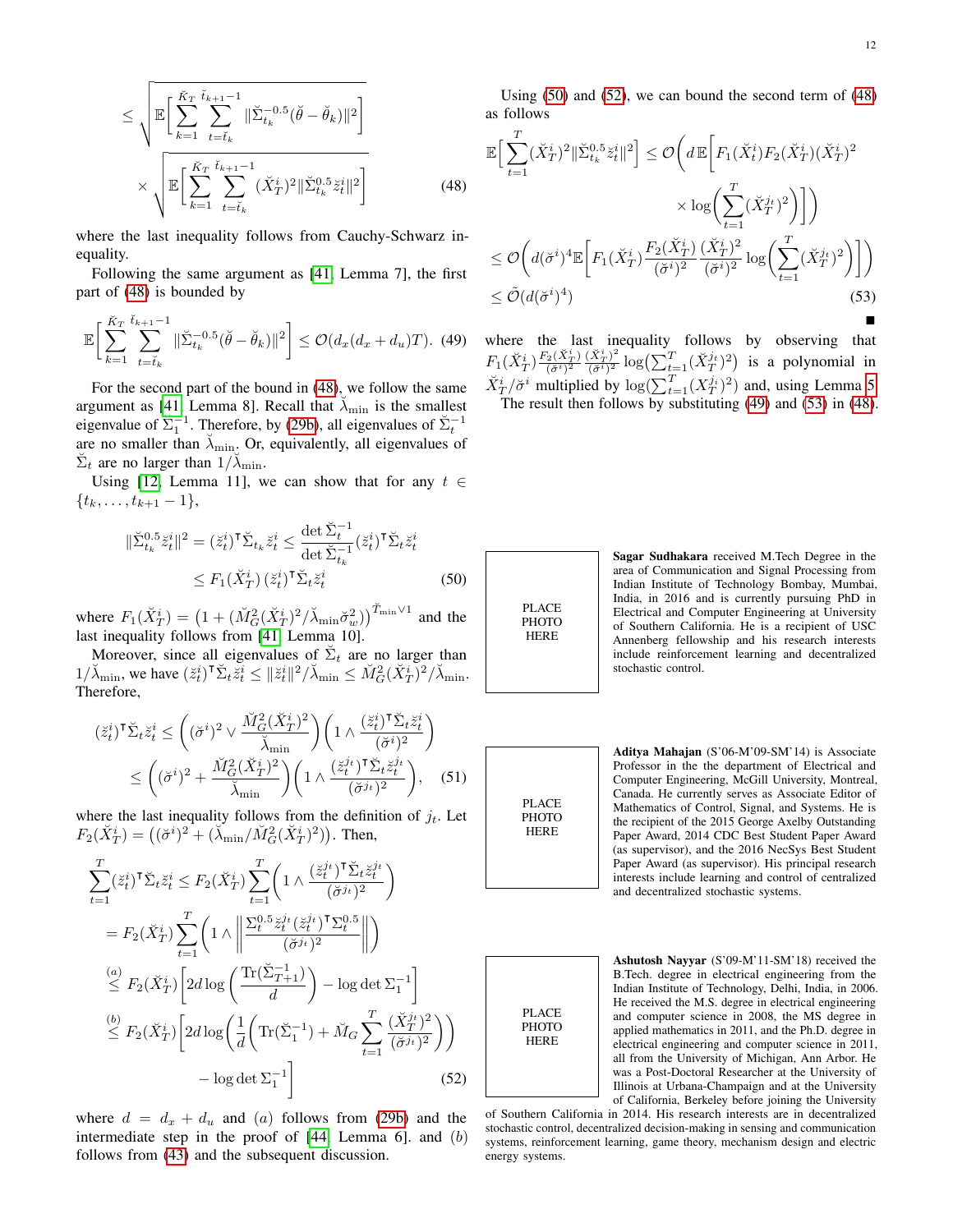$$
\leq \sqrt{\mathbb{E}\bigg[\sum_{k=1}^{\breve{K}_T} \sum_{t=\breve{t}_k}^{\breve{t}_{k+1}-1} \|\breve{\Sigma}_{t_k}^{-0.5}(\breve{\theta}-\breve{\theta}_k)\|^2\bigg]} \times \sqrt{\mathbb{E}\bigg[\sum_{k=1}^{\breve{K}_T} \sum_{t=\breve{t}_k}^{\breve{t}_{k+1}-1} (\breve{X}_T^i)^2 \|\breve{\Sigma}_{t_k}^{0.5} \breve{z}_t^i\|^2\bigg]} \tag{48}
$$

where the last inequality follows from Cauchy-Schwarz inequality.

Following the same argument as [\[41,](#page-9-28) Lemma 7], the first part of [\(48\)](#page-11-0) is bounded by

<span id="page-11-3"></span>
$$
\mathbb{E}\bigg[\sum_{k=1}^{\check{K}_T} \sum_{t=\check{t}_k}^{\check{t}_{k+1}-1} \|\check{\Sigma}_{t_k}^{-0.5}(\check{\theta}-\check{\theta}_k)\|^2\bigg] \leq \mathcal{O}(d_x(d_x+d_u)T). \tag{49}
$$

For the second part of the bound in [\(48\)](#page-11-0), we follow the same argument as [\[41,](#page-9-28) Lemma 8]. Recall that  $\lambda_{\min}$  is the smallest eigenvalue of  $\Sigma_1^{-1}$ . Therefore, by [\(29b\)](#page-4-7), all eigenvalues of  $\Sigma_t^{-1}$ are no smaller than  $\lambda_{\min}$ . Or, equivalently, all eigenvalues of  $\check{\Sigma}_t$  are no larger than  $1/\check{\lambda}_{\min}$ .

Using [\[12,](#page-9-11) Lemma 11], we can show that for any  $t \in$  $\{t_k, \ldots, t_{k+1}-1\},\$ 

$$
\|\tilde{\Sigma}_{t_k}^{0.5} \tilde{z}_t^i\|^2 = (\tilde{z}_t^i)^\mathsf{T} \tilde{\Sigma}_{t_k} \tilde{z}_t^i \le \frac{\det \tilde{\Sigma}_t^{-1}}{\det \tilde{\Sigma}_{t_k}^{-1}} (\tilde{z}_t^i)^\mathsf{T} \tilde{\Sigma}_t \tilde{z}_t^i
$$

$$
\le F_1(\tilde{X}_T^i) (\tilde{z}_t^i)^\mathsf{T} \tilde{\Sigma}_t \tilde{z}_t^i \tag{50}
$$

where  $F_1(\check{X}_T^i) = \left(1 + (\check{M}_G^2(\check{X}_T^i))^2 / \check{\lambda}_{\min} \check{\sigma}_w^2)\right)^{\check{T}_{\min} \vee 1}$  and the last inequality follows from [\[41,](#page-9-28) Lemma 10].

Moreover, since all eigenvalues of  $\Sigma_t$  are no larger than  $1/\lambda_{\min}$ , we have  $(\check{z}_t^i)^\intercal \check{\Sigma}_t \check{z}_t^i \leq ||\check{z}_t^i||^2/\check{\lambda}_{\min} \leq \check{M}_G^2(\check{X}_T^i)^2/\check{\lambda}_{\min}$ . Therefore,

$$
(\check{z}_t^i)^{\mathsf{T}} \check{\Sigma}_t \check{z}_t^i \leq \left( (\check{\sigma}^i)^2 \vee \frac{\check{M}_G^2 (\check{X}_T^i)^2}{\check{\lambda}_{\min}} \right) \left( 1 \wedge \frac{(\check{z}_t^i)^{\mathsf{T}} \check{\Sigma}_t \check{z}_t^i}{(\check{\sigma}^i)^2} \right) \leq \left( (\check{\sigma}^i)^2 + \frac{\check{M}_G^2 (\check{X}_T^i)^2}{\check{\lambda}_{\min}} \right) \left( 1 \wedge \frac{(\check{z}_t^i)^{\mathsf{T}} \check{\Sigma}_t \check{z}_t^i}{(\check{\sigma}^i)^2} \right), \quad (51)
$$

where the last inequality follows from the definition of  $j_t$ . Let  $F_2(\breve{X}_T^i) = ((\breve{\sigma}^i)^2 + (\breve{\lambda}_{\text{min}}/\breve{M}_G^2(\breve{X}_T^i)^2))$ . Then,

$$
\sum_{t=1}^{T} (\check{z}_t^i)^{\mathsf{T}} \check{\Sigma}_t \check{z}_t^i \le F_2(\check{X}_T^i) \sum_{t=1}^{T} \left( 1 \wedge \frac{(\check{z}_t^{j_t})^{\mathsf{T}} \check{\Sigma}_t \check{z}_t^{j_t}}{(\check{\sigma}^{j_t})^2} \right)
$$
\n
$$
= F_2(\check{X}_T^i) \sum_{t=1}^{T} \left( 1 \wedge \left\| \frac{\Sigma_t^{0.5} \check{z}_t^{j_t} (\check{z}_t^{j_t})^{\mathsf{T}} \Sigma_t^{0.5}}{(\check{\sigma}^{j_t})^2} \right\| \right)
$$
\n
$$
\stackrel{(a)}{\le F_2(\check{X}_T^i)} \left[ 2d \log \left( \frac{\text{Tr}(\check{\Sigma}_{T+1}^{-1})}{d} \right) - \log \det \Sigma_1^{-1} \right]
$$
\n
$$
\stackrel{(b)}{\le F_2(\check{X}_T^i)} \left[ 2d \log \left( \frac{1}{d} \left( \text{Tr}(\check{\Sigma}_1^{-1}) + \check{M}_G \sum_{t=1}^{T} \frac{(\check{X}_T^{j_t})^2}{(\check{\sigma}^{j_t})^2} \right) \right) - \log \det \Sigma_1^{-1} \right]
$$
\n
$$
(52)
$$

where  $d = d_x + d_u$  and (a) follows from [\(29b\)](#page-4-7) and the intermediate step in the proof of  $[44,$  Lemma 6]. and  $(b)$ follows from [\(43\)](#page-10-1) and the subsequent discussion.

Using [\(50\)](#page-11-1) and [\(52\)](#page-11-2), we can bound the second term of [\(48\)](#page-11-0) as follows

<span id="page-11-0"></span>
$$
\mathbb{E}\Big[\sum_{t=1}^{T}(\check{X}_{T}^{i})^{2}\|\check{\Sigma}_{t_{k}}^{0.5}\check{z}_{t}^{i}\|^{2}\Big] \leq \mathcal{O}\Big(d\mathbb{E}\Big[F_{1}(\check{X}_{t}^{i})F_{2}(\check{X}_{T}^{i})(\check{X}_{T}^{i})^{2} \times \log\Big(\sum_{t=1}^{T}(\check{X}_{T}^{j_{t}})^{2}\Big)\Big]\Big) \Big) \leq \mathcal{O}\Big(d(\check{\sigma}^{i})^{4}\mathbb{E}\Big[F_{1}(\check{X}_{T}^{i})\frac{F_{2}(\check{X}_{T}^{i})}{(\check{\sigma}^{i})^{2}}\frac{(\check{X}_{T}^{i})^{2}}{(\check{\sigma}^{i})^{2}}\log\Big(\sum_{t=1}^{T}(\check{X}_{T}^{j_{t}})^{2}\Big)\Big]\Big) \leq \tilde{\mathcal{O}}(d(\check{\sigma}^{i})^{4}) \tag{53}
$$

where the last inequality follows by observing that  $F_1(\breve{X}^i_T) \frac{F_2(\breve{X}^i_T)}{(\breve{\sigma}^i)^2} \frac{(\breve{X}^i_T)^2}{(\breve{\sigma}^i)^2}$  $\frac{(X_T^i)^2}{(\check{\sigma}^i)^2} \log \left( \sum_{t=1}^T (\check{X}_T^{j_t})^2 \right)$  is a polynomial in  $\breve{X}_T^i / \breve{\sigma}^i$  multiplied by  $\log(\sum_{t=1}^T (X_T^{j_i})^2)$  and, using Lemma [5.](#page-9-34) The result then follows by substituting [\(49\)](#page-11-3) and [\(53\)](#page-11-4) in [\(48\)](#page-11-0).

> <span id="page-11-4"></span>Sagar Sudhakara received M.Tech Degree in the area of Communication and Signal Processing from Indian Institute of Technology Bombay, Mumbai, India, in 2016 and is currently pursuing PhD in Electrical and Computer Engineering at University of Southern California. He is a recipient of USC Annenberg fellowship and his research interests include reinforcement learning and decentralized stochastic control.

PLACE **PHOTO** HERE

<span id="page-11-1"></span>PLACE **PHOTO** HERE

> Aditya Mahajan (S'06-M'09-SM'14) is Associate Professor in the the department of Electrical and Computer Engineering, McGill University, Montreal, Canada. He currently serves as Associate Editor of Mathematics of Control, Signal, and Systems. He is the recipient of the 2015 George Axelby Outstanding Paper Award, 2014 CDC Best Student Paper Award (as supervisor), and the 2016 NecSys Best Student Paper Award (as supervisor). His principal research interests include learning and control of centralized and decentralized stochastic systems.

PLACE PHOTO HERE

Ashutosh Nayyar (S'09-M'11-SM'18) received the B.Tech. degree in electrical engineering from the Indian Institute of Technology, Delhi, India, in 2006. He received the M.S. degree in electrical engineering and computer science in 2008, the MS degree in applied mathematics in 2011, and the Ph.D. degree in electrical engineering and computer science in 2011, all from the University of Michigan, Ann Arbor. He was a Post-Doctoral Researcher at the University of Illinois at Urbana-Champaign and at the University of California, Berkeley before joining the University

<span id="page-11-2"></span>of Southern California in 2014. His research interests are in decentralized stochastic control, decentralized decision-making in sensing and communication systems, reinforcement learning, game theory, mechanism design and electric energy systems.